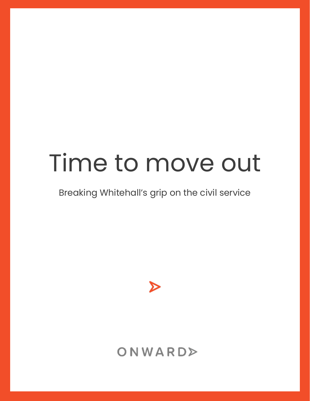## Time to move out

### Breaking Whitehall's grip on the civil service



### ONWARD>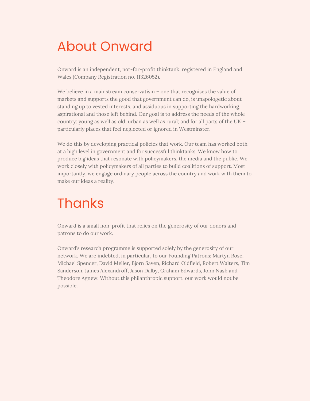## About Onward

Onward is an independent, not-for-profit thinktank, registered in England and Wales (Company Registration no. 11326052).

We believe in a mainstream conservatism – one that recognises the value of markets and supports the good that government can do, is unapologetic about standing up to vested interests, and assiduous in supporting the hardworking, aspirational and those left behind. Our goal is to address the needs of the whole country: young as well as old; urban as well as rural; and for all parts of the UK – particularly places that feel neglected or ignored in Westminster.

We do this by developing practical policies that work. Our team has worked both at a high level in government and for successful thinktanks. We know how to produce big ideas that resonate with policymakers, the media and the public. We work closely with policymakers of all parties to build coalitions of support. Most importantly, we engage ordinary people across the country and work with them to make our ideas a reality.

## Thanks

Onward is a small non-profit that relies on the generosity of our donors and patrons to do our work.

Onward's research programme is supported solely by the generosity of our network. We are indebted, in particular, to our Founding Patrons: Martyn Rose, Michael Spencer, David Meller, Bjorn Saven, Richard Oldfield, Robert Walters, Tim Sanderson, James Alexandroff, Jason Dalby, Graham Edwards, John Nash and Theodore Agnew. Without this philanthropic support, our work would not be possible.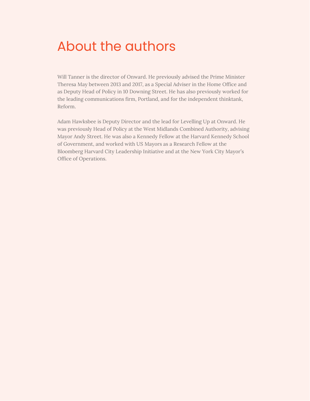## About the authors

Will Tanner is the director of Onward. He previously advised the Prime Minister Theresa May between 2013 and 2017, as a Special Adviser in the Home Office and as Deputy Head of Policy in 10 Downing Street. He has also previously worked for the leading communications firm, Portland, and for the independent thinktank, Reform.

Adam Hawksbee is Deputy Director and the lead for Levelling Up at Onward. He was previously Head of Policy at the West Midlands Combined Authority, advising Mayor Andy Street. He was also a Kennedy Fellow at the Harvard Kennedy School of Government, and worked with US Mayors as a Research Fellow at the Bloomberg Harvard City Leadership Initiative and at the New York City Mayor's Office of Operations.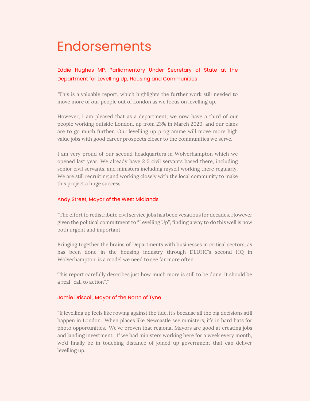## Endorsements

#### Eddie Hughes MP, Parliamentary Under Secretary of State at the Department for Levelling Up, Housing and Communities

"This is a valuable report, which highlights the further work still needed to move more of our people out of London as we focus on levelling up.

However, I am pleased that as a department, we now have a third of our people working outside London, up from 23% in March 2020, and our plans are to go much further. Our levelling up programme will move more high value jobs with good career prospects closer to the communities we serve.

I am very proud of our second headquarters in Wolverhampton which we opened last year. We already have 215 civil servants based there, including senior civil servants, and ministers including myself working there regularly. We are still recruiting and working closely with the local community to make this project a huge success."

#### Andy Street, Mayor of the West Midlands

"The effort to redistribute civil service jobs has been vexatious for decades. However given the political commitment to "Levelling Up", finding a way to do this well is now both urgent and important.

Bringing together the brains of Departments with businesses in critical sectors, as has been done in the housing industry through DLUHC's second HQ in Wolverhampton, is a model we need to see far more often.

This report carefully describes just how much more is still to be done. It should be a real "call to action"."

#### Jamie Driscoll, Mayor of the North of Tyne

"If levelling up feels like rowing against the tide, it's because all the big decisions still happen in London. When places like Newcastle see ministers, it's in hard hats for photo opportunities. We've proven that regional Mayors are good at creating jobs and landing investment. If we had ministers working here for a week every month, we'd finally be in touching distance of joined up government that can deliver levelling up.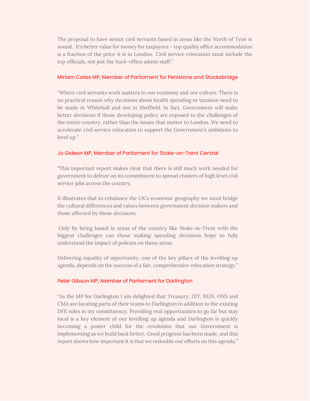The proposal to have senior civil servants based in areas like the North of Tyne is sound. It's better value for money for taxpayers – top quality office accommodation is a fraction of the price it is in London. Civil service relocation must include the top officials, not just the back-office admin staff."

#### Miriam Cates MP, Member of Parliament for Penistone and Stocksbridge

"Where civil servants work matters to our economy and our culture. There is no practical reason why decisions about health spending or taxation need to be made in Whitehall and not in Sheffield. In fact, Government will make better decisions if those developing policy are exposed to the challenges of the entire country, rather than the issues that matter to London. We need to accelerate civil service relocation to support the Government's ambitions to level up."

#### Jo Gideon MP, Member of Parliament for Stoke-on-Trent Central

"This important report makes clear that there is still much work needed for government to deliver on its commitment to spread clusters of high level civil service jobs across the country.

It illustrates that to rebalance the UK's economic geography we must bridge the cultural differences and values between government decision makers and those affected by those decisions.

Only by being based in areas of the country like Stoke-in-Trent with the biggest challenges can those making spending decisions hope to fully understand the impact of policies on those areas.

Delivering equality of opportunity, one of the key pillars of the levelling up agenda, depends on the success of a fair, comprehensive relocation strategy."

#### Peter Gibson MP, Member of Parliament for Darlington

"As the MP for Darlington I am delighted that Treasury, DIT, BEIS, ONS and CMA are locating parts of their teams to Darlington in addition to the existing DFE roles in my constituency. Providing real opportunities to go far but stay local is a key element of our levelling up agenda and Darlington is quickly becoming a poster child for the revolution that our Government is implementing as we build back better. Good progress has been made, and this report shows how important it is that we redouble our efforts on this agenda."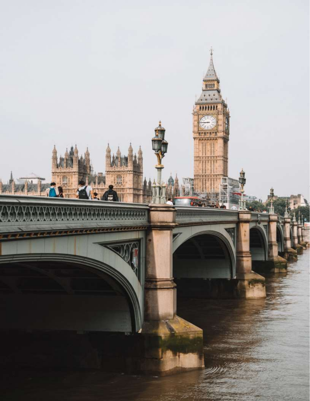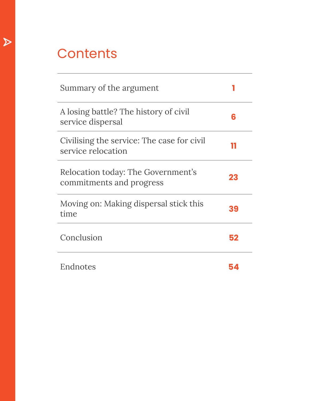## **Contents**

 $\triangleright$ 

| Summary of the argument                                          |    |
|------------------------------------------------------------------|----|
| A losing battle? The history of civil<br>service dispersal       | 6  |
| Civilising the service: The case for civil<br>service relocation |    |
| Relocation today: The Government's<br>commitments and progress   | 23 |
| Moving on: Making dispersal stick this<br>time                   | 39 |
| Conclusion                                                       | 52 |
| Endnotes                                                         |    |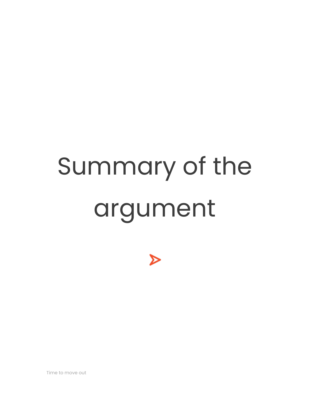# Summary of the argument



Time to move out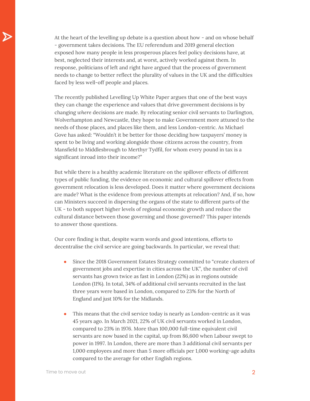At the heart of the levelling up debate is a question about how - and on whose behalf - government takes decisions. The EU referendum and 2019 general election exposed how many people in less prosperous places feel policy decisions have, at best, neglected their interests and, at worst, actively worked against them. In response, politicians of left and right have argued that the process of government needs to change to better reflect the plurality of values in the UK and the difficulties faced by less well-off people and places.

The recently published Levelling Up White Paper argues that one of the best ways they can change the experience and values that drive government decisions is by changing *where* decisions are made. By relocating senior civil servants to Darlington, Wolverhampton and Newcastle, they hope to make Government more attuned to the needs of those places, and places like them, and less London-centric. As Michael Gove has asked: "Wouldn't it be better for those deciding how taxpayers' money is spent to be living and working alongside those citizens across the country, from Mansfield to Middlesbrough to Merthyr Tydfil, for whom every pound in tax is a significant inroad into their income?"

But while there is a healthy academic literature on the spillover effects of different types of public funding, the evidence on economic and cultural spillover effects from government relocation is less developed. Does it matter where government decisions are made? What is the evidence from previous attempts at relocation? And, if so, how can Ministers succeed in dispersing the organs of the state to different parts of the UK - to both support higher levels of regional economic growth and reduce the cultural distance between those governing and those governed? This paper intends to answer those questions.

Our core finding is that, despite warm words and good intentions, efforts to decentralise the civil service are going backwards. In particular, we reveal that:

- Since the 2018 Government Estates Strategy committed to "create clusters of government jobs and expertise in cities across the UK", the number of civil servants has grown twice as fast in London (22%) as in regions outside London (11%). In total, 34% of additional civil servants recruited in the last three years were based in London, compared to 23% for the North of England and just 10% for the Midlands.
- This means that the civil service today is nearly as London-centric as it was 45 years ago. In March 2021, 22% of UK civil servants worked in London, compared to 23% in 1976. More than 100,000 full-time equivalent civil servants are now based in the capital, up from 86,600 when Labour swept to power in 1997. In London, there are more than 3 additional civil servants per 1,000 employees and more than 5 more officials per 1,000 working-age adults compared to the average for other English regions.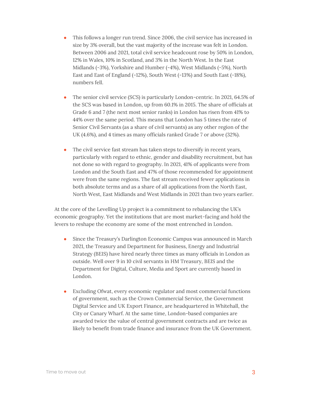- This follows a longer run trend. Since 2006, the civil service has increased in size by 3% overall, but the vast majority of the increase was felt in London. Between 2006 and 2021, total civil service headcount rose by 50% in London, 12% in Wales, 10% in Scotland, and 3% in the North West. In the East Midlands (-3%), Yorkshire and Humber (-4%), West Midlands (-5%), North East and East of England (-12%), South West (-13%) and South East (-18%), numbers fell.
- The senior civil service (SCS) is particularly London-centric. In 2021, 64.5% of the SCS was based in London, up from 60.1% in 2015. The share of officials at Grade 6 and 7 (the next most senior ranks) in London has risen from 41% to 44% over the same period. This means that London has 5 times the rate of Senior Civil Servants (as a share of civil servants) as any other region of the UK (4.6%), and 4 times as many officials ranked Grade 7 or above (32%).
- The civil service fast stream has taken steps to diversify in recent years, particularly with regard to ethnic, gender and disability recruitment, but has not done so with regard to geography. In 2021, 41% of applicants were from London and the South East and 47% of those recommended for appointment were from the same regions. The fast stream received fewer applications in both absolute terms and as a share of all applications from the North East, North West, East Midlands and West Midlands in 2021 than two years earlier.

At the core of the Levelling Up project is a commitment to rebalancing the UK's economic geography. Yet the institutions that are most market-facing and hold the levers to reshape the economy are some of the most entrenched in London.

- Since the Treasury's Darlington Economic Campus was announced in March 2021, the Treasury and Department for Business, Energy and Industrial Strategy (BEIS) have hired nearly three times as many officials in London as outside. Well over 9 in 10 civil servants in HM Treasury, BEIS and the Department for Digital, Culture, Media and Sport are currently based in London.
- Excluding Ofwat, every economic regulator and most commercial functions of government, such as the Crown Commercial Service, the Government Digital Service and UK Export Finance, are headquartered in Whitehall, the City or Canary Wharf. At the same time, London-based companies are awarded twice the value of central government contracts and are twice as likely to benefit from trade finance and insurance from the UK Government.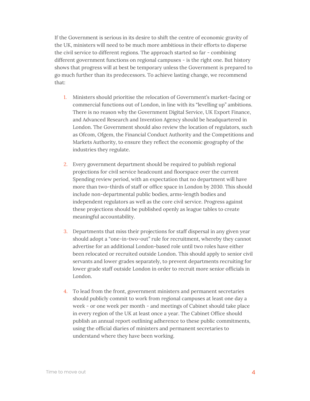If the Government is serious in its desire to shift the centre of economic gravity of the UK, ministers will need to be much more ambitious in their efforts to disperse the civil service to different regions. The approach started so far - combining different government functions on regional campuses - is the right one. But history shows that progress will at best be temporary unless the Government is prepared to go much further than its predecessors. To achieve lasting change, we recommend that:

- 1. Ministers should prioritise the relocation of Government's market-facing or commercial functions out of London, in line with its "levelling up" ambitions. There is no reason why the Government Digital Service, UK Export Finance, and Advanced Research and Invention Agency should be headquartered in London. The Government should also review the location of regulators, such as Ofcom, Ofgem, the Financial Conduct Authority and the Competitions and Markets Authority, to ensure they reflect the economic geography of the industries they regulate.
- 2. Every government department should be required to publish regional projections for civil service headcount and floorspace over the current Spending review period, with an expectation that no department will have more than two-thirds of staff or office space in London by 2030. This should include non-departmental public bodies, arms-length bodies and independent regulators as well as the core civil service. Progress against these projections should be published openly as league tables to create meaningful accountability.
- 3. Departments that miss their projections for staff dispersal in any given year should adopt a "one-in-two-out" rule for recruitment, whereby they cannot advertise for an additional London-based role until two roles have either been relocated or recruited outside London. This should apply to senior civil servants and lower grades separately, to prevent departments recruiting for lower grade staff outside London in order to recruit more senior officials in London.
- 4. To lead from the front, government ministers and permanent secretaries should publicly commit to work from regional campuses at least one day a week - or one week per month - and meetings of Cabinet should take place in every region of the UK at least once a year. The Cabinet Office should publish an annual report outlining adherence to these public commitments, using the official diaries of ministers and permanent secretaries to understand where they have been working.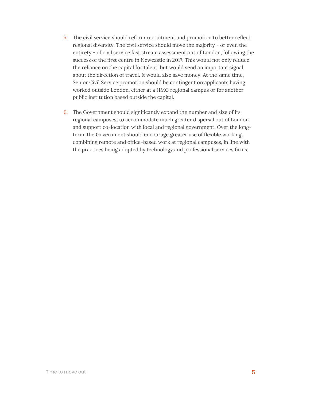- 5. The civil service should reform recruitment and promotion to better reflect regional diversity. The civil service should move the majority - or even the entirety - of civil service fast stream assessment out of London, following the success of the first centre in Newcastle in 2017. This would not only reduce the reliance on the capital for talent, but would send an important signal about the direction of travel. It would also save money. At the same time, Senior Civil Service promotion should be contingent on applicants having worked outside London, either at a HMG regional campus or for another public institution based outside the capital.
- 6. The Government should significantly expand the number and size of its regional campuses, to accommodate much greater dispersal out of London and support co-location with local and regional government. Over the longterm, the Government should encourage greater use of flexible working, combining remote and office-based work at regional campuses, in line with the practices being adopted by technology and professional services firms.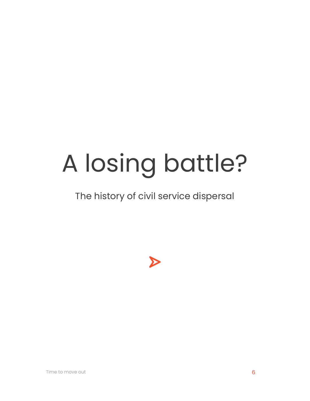## A losing battle?

### The history of civil service dispersal

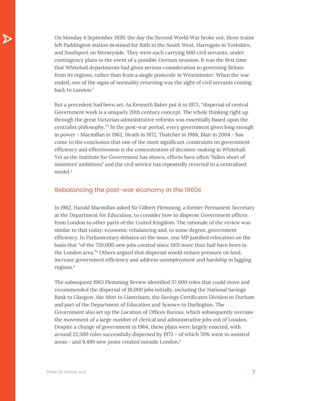On Monday 4 September 1939, the day the Second World War broke out, three trains left Paddington station destined for Bath in the South West, Harrogate in Yorkshire, and Southport on Merseyside. They were each carrying 600 civil servants, under contingency plans in the event of a possible German invasion. It was the first time that Whitehall departments had given serious consideration to governing Britain from its regions, rather than from a single postcode in Westminster. When the war ended, one of the signs of normality returning was the sight of civil servants coming back to London.<sup>1</sup>

But a precedent had been set. As Kenneth Baker put it in 1973, "dispersal of central Government work is a uniquely 20th century concept. The whole thinking right up through the great Victorian administrative reforms was essentially based upon the centralist philosophy." <sup>1</sup> In the post-war period, every government given long enough in power - Macmillan in 1962, Heath in 1972, Thatcher in 1988, Blair in 2004 - has come to the conclusion that one of the most significant constraints on government efficiency and effectiveness is the concentration of decision-making in Whitehall. Yet as the Institute for Government has shown, efforts have often "fallen short of ministers' ambitions" and the civil service has repeatedly reverted to a centralised model.<sup>2</sup>

#### Rebalancing the post-war economy in the 1960s

In 1962, Harold Macmillan asked Sir Gilbert Flemming, a former Permanent Secretary at the Department for Education, to consider how to disperse Government offices from London to other parts of the United Kingdom. The rationale of the review was similar to that today: economic rebalancing and, to some degree, government efficiency. In Parliamentary debates on the issue, one MP justified relocation on the basis that "of the 750,000 new jobs created since 1951 more than half have been in the London area."<sup>3</sup> Others argued that dispersal would reduce pressure on land, increase government efficiency and address unemployment and hardship in lagging regions.<sup>4</sup>

The subsequent 1963 Flemming Review identified 57,000 roles that could move and recommended the dispersal of 18,000 jobs initially, including the National Savings Bank to Glasgow, the Mint to Llantrisant, the Savings Certificates Division to Durham and part of the Department of Education and Science to Darlington. The Government also set up the Location of Offices Bureau, which subsequently oversaw the movement of a large number of clerical and administrative jobs out of London. Despite a change of government in 1964, these plans were largely enacted, with around 22,500 roles successfully dispersed by 1972 - of which 70% went to assisted areas - and 9,490 new posts created outside London.<sup>5</sup>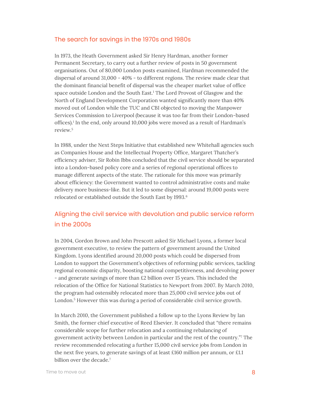#### The search for savings in the 1970s and 1980s

In 1973, the Heath Government asked Sir Henry Hardman, another former Permanent Secretary, to carry out a further review of posts in 50 government organisations. Out of 80,000 London posts examined, Hardman recommended the dispersal of around 31,000 - 40% - to different regions. The review made clear that the dominant financial benefit of dispersal was the cheaper market value of office space outside London and the South East.<sup>1</sup> The Lord Provost of Glasgow and the North of England Development Corporation wanted significantly more than 40% moved out of London while the TUC and CBI objected to moving the Manpower Services Commission to Liverpool (because it was too far from their London-based offices).<sup>1</sup> In the end, only around 10,000 jobs were moved as a result of Hardman's review<sup>5</sup>

In 1988, under the Next Steps Initiative that established new Whitehall agencies such as Companies House and the Intellectual Property Office, Margaret Thatcher's efficiency adviser, Sir Robin Ibbs concluded that the civil service should be separated into a London-based policy core and a series of regional operational offices to manage different aspects of the state. The rationale for this move was primarily about efficiency: the Government wanted to control administrative costs and make delivery more business-like. But it led to some dispersal: around 19,000 posts were relocated or established outside the South East by 1993.<sup>6</sup>

#### Aligning the civil service with devolution and public service reform in the 2000s

In 2004, Gordon Brown and John Prescott asked Sir Michael Lyons, a former local government executive, to review the pattern of government around the United Kingdom. Lyons identified around 20,000 posts which could be dispersed from London to support the Government's objectives of reforming public services, tackling regional economic disparity, boosting national competitiveness, and devolving power - and generate savings of more than £2 billion over 15 years. This included the relocation of the Office for National Statistics to Newport from 2007. By March 2010, the program had ostensibly relocated more than 25,000 civil service jobs out of London.<sup>5</sup> However this was during a period of considerable civil service growth.

In March 2010, the Government published a follow up to the Lyons Review by Ian Smith, the former chief executive of Reed Elsevier. It concluded that "there remains considerable scope for further relocation and a continuing rebalancing of government activity between London in particular and the rest of the country."<sup>7</sup> The review recommended relocating a further 15,000 civil service jobs from London in the next five years, to generate savings of at least £160 million per annum, or £1.1 billion over the decade.<sup>7</sup>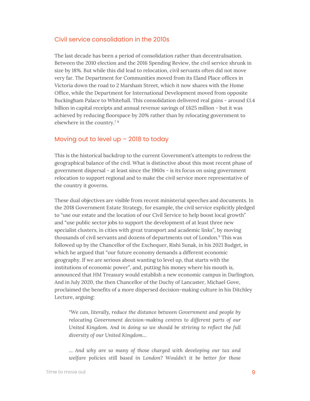#### Civil service consolidation in the 2010s

The last decade has been a period of consolidation rather than decentralisation. Between the 2010 election and the 2016 Spending Review, the civil service shrunk in size by 18%. But while this did lead to relocation, civil servants often did not move very far. The Department for Communities moved from its Eland Place offices in Victoria down the road to 2 Marsham Street, which it now shares with the Home Office, while the Department for International Development moved from opposite Buckingham Palace to Whitehall. This consolidation delivered real gains - around £1.4 billion in capital receipts and annual revenue savings of £625 million - but it was achieved by reducing floorspace by 20% rather than by relocating government to elsewhere in the country.<sup>7</sup> <sup>8</sup>

#### Moving out to level up – 2018 to today

This is the historical backdrop to the current Government's attempts to redress the geographical balance of the civil. What is distinctive about this most recent phase of government dispersal - at least since the 1960s - is its focus on using government relocation to support regional and to make the civil service more representative of the country it governs.

These dual objectives are visible from recent ministerial speeches and documents. In the 2018 Government Estate Strategy, for example, the civil service explicitly pledged to "use our estate and the location of our Civil Service to help boost local growth" and "use public sector jobs to support the development of at least three new specialist clusters, in cities with great transport and academic links", by moving thousands of civil servants and dozens of departments out of London.<sup>9</sup> This was followed up by the Chancellor of the Exchequer, Rishi Sunak, in his 2021 Budget, in which he argued that "our future economy demands a different economic geography. If we are serious about wanting to level up, that starts with the institutions of economic power", and, putting his money where his mouth is, announced that HM Treasury would establish a new economic campus in Darlington. And in July 2020, the then Chancellor of the Duchy of Lancaster, Michael Gove, proclaimed the benefits of a more dispersed decision-making culture in his Ditchley Lecture, arguing:

*"We can, literally, reduce the distance between Government and people by relocating Government decision-making centres to different parts of our United Kingdom. And in doing so we should be striving to reflect the full diversity of our United Kingdom…* 

*… And why are so many of those charged with developing our tax and welfare policies still based in London? Wouldn't it be better for those*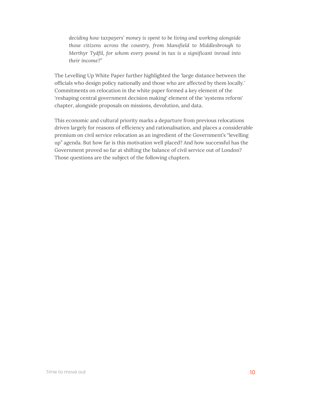*deciding how taxpayers' money is spent to be living and working alongside those citizens across the country, from Mansfield to Middlesbrough to Merthyr Tydfil, for whom every pound in tax is a significant inroad into their income?"*

The Levelling Up White Paper further highlighted the 'large distance between the officials who design policy nationally and those who are affected by them locally.' Commitments on relocation in the white paper formed a key element of the 'reshaping central government decision making' element of the 'systems reform' chapter, alongside proposals on missions, devolution, and data.

This economic and cultural priority marks a departure from previous relocations driven largely for reasons of efficiency and rationalisation, and places a considerable premium on civil service relocation as an ingredient of the Government's "levelling up" agenda. But how far is this motivation well placed? And how successful has the Government proved so far at shifting the balance of civil service out of London? Those questions are the subject of the following chapters.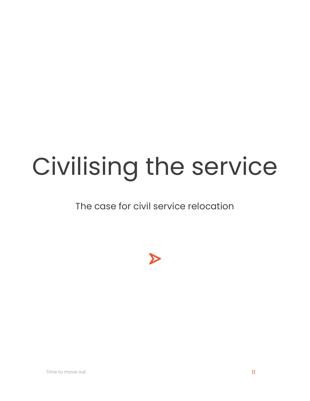## Civilising the service

The case for civil service relocation

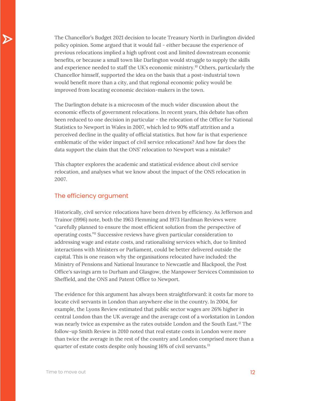The Chancellor's Budget 2021 decision to locate Treasury North in Darlington divided policy opinion. Some argued that it would fail - either because the experience of previous relocations implied a high upfront cost and limited downstream economic benefits, or because a small town like Darlington would struggle to supply the skills and experience needed to staff the UK's economic ministry.<sup>10</sup> Others, particularly the Chancellor himself, supported the idea on the basis that a post-industrial town would benefit more than a city, and that regional economic policy would be improved from locating economic decision-makers in the town.

The Darlington debate is a microcosm of the much wider discussion about the economic effects of government relocations. In recent years, this debate has often been reduced to one decision in particular - the relocation of the Office for National Statistics to Newport in Wales in 2007, which led to 90% staff attrition and a perceived decline in the quality of official statistics. But how far is that experience emblematic of the wider impact of civil service relocations? And how far does the data support the claim that the ONS' relocation to Newport was a mistake?

This chapter explores the academic and statistical evidence about civil service relocation, and analyses what we know about the impact of the ONS relocation in 2007.

#### The efficiency argument

Historically, civil service relocations have been driven by efficiency. As Jefferson and Trainor (1996) note, both the 1963 Flemming and 1973 Hardman Reviews were "carefully planned to ensure the most efficient solution from the perspective of operating costs."<sup>11</sup> Successive reviews have given particular consideration to addressing wage and estate costs, and rationalising services which, due to limited interactions with Ministers or Parliament, could be better delivered outside the capital. This is one reason why the organisations relocated have included: the Ministry of Pensions and National Insurance to Newcastle and Blackpool, the Post Office's savings arm to Durham and Glasgow, the Manpower Services Commission to Sheffield, and the ONS and Patent Office to Newport.

The evidence for this argument has always been straightforward: it costs far more to locate civil servants in London than anywhere else in the country. In 2004, for example, the Lyons Review estimated that public sector wages are 26% higher in central London than the UK average and the average cost of a workstation in London was nearly twice as expensive as the rates outside London and the South East.<sup>12</sup> The follow-up Smith Review in 2010 noted that real estate costs in London were more than twice the average in the rest of the country and London comprised more than a quarter of estate costs despite only housing 16% of civil servants.<sup>13</sup>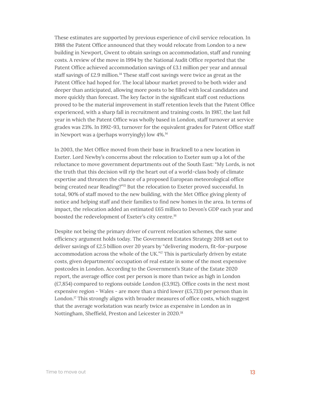These estimates are supported by previous experience of civil service relocation. In 1988 the Patent Office announced that they would relocate from London to a new building in Newport, Gwent to obtain savings on accommodation, staff and running costs. A review of the move in 1994 by the National Audit Office reported that the Patent Office achieved accommodation savings of £3.1 million per year and annual staff savings of £2.9 million.<sup>14</sup> These staff cost savings were twice as great as the Patent Office had hoped for. The local labour market proved to be both wider and deeper than anticipated, allowing more posts to be filled with local candidates and more quickly than forecast. The key factor in the significant staff cost reductions proved to be the material improvement in staff retention levels that the Patent Office experienced, with a sharp fall in recruitment and training costs. In 1987, the last full year in which the Patent Office was wholly based in London, staff turnover at service grades was 23%. In 1992-93, turnover for the equivalent grades for Patent Office staff in Newport was a (perhaps worryingly) low 4%.<sup>14</sup>

In 2003, the Met Office moved from their base in Bracknell to a new location in Exeter. Lord Newby's concerns about the relocation to Exeter sum up a lot of the reluctance to move government departments out of the South East: "My Lords, is not the truth that this decision will rip the heart out of a world-class body of climate expertise and threaten the chance of a proposed European meteorological office being created near Reading?"<sup>15</sup> But the relocation to Exeter proved successful. In total, 90% of staff moved to the new building, with the Met Office giving plenty of notice and helping staff and their families to find new homes in the area. In terms of impact, the relocation added an estimated £65 million to Devon's GDP each year and boosted the redevelopment of Exeter's city centre.<sup>16</sup>

Despite not being the primary driver of current relocation schemes, the same efficiency argument holds today. The Government Estates Strategy 2018 set out to deliver savings of £2.5 billion over 20 years by "delivering modern, fit-for-purpose accommodation across the whole of the UK."<sup>17</sup> This is particularly driven by estate costs, given departments' occupation of real estate in some of the most expensive postcodes in London. According to the Government's State of the Estate 2020 report, the average office cost per person is more than twice as high in London (£7,854) compared to regions outside London (£3,912). Office costs in the next most expensive region - Wales - are more than a third lower  $(E5,733)$  per person than in London.<sup>17</sup> This strongly aligns with broader measures of office costs, which suggest that the average workstation was nearly twice as expensive in London as in Nottingham, Sheffield, Preston and Leicester in 2020.18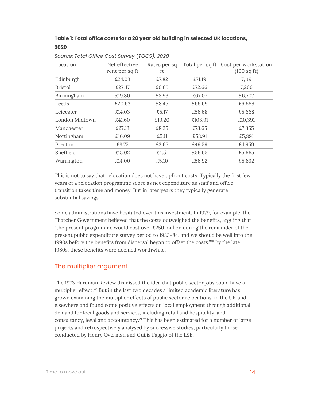#### **Table 1: Total office costs for a 20 year old building in selected UK locations, 2020**

| Location       | Net effective<br>rent per sq ft | Rates per sq<br>ft |         | Total per sq ft Cost per workstation<br>$(100 \text{ sq ft})$ |
|----------------|---------------------------------|--------------------|---------|---------------------------------------------------------------|
| Edinburgh      | £24.03                          | £7.82              | £71.19  | 7,119                                                         |
| <b>Bristol</b> | £27.47                          | £6.65              | £72,66  | 7,266                                                         |
| Birmingham     | £19.80                          | £8.93              | £67.07  | £6,707                                                        |
| Leeds          | £20.63                          | £8.45              | £66.69  | £6,669                                                        |
| Leicester      | £14.03                          | £5.17              | £56.68  | £5,668                                                        |
| London Midtown | £41.60                          | £19.20             | £103.91 | £10,391                                                       |
| Manchester     | £27.13                          | £8.35              | £73.65  | £7,365                                                        |
| Nottingham     | £16.09                          | £5.11              | £58.91  | £5,891                                                        |
| Preston        | £8.75                           | £3.65              | £49.59  | £4,959                                                        |
| Sheffield      | £15.02                          | £4.51              | £56.65  | £5,665                                                        |
| Warrington     | £14.00                          | £5.10              | £56.92  | £5,692                                                        |

#### *Source: Total Office Cost Survey (TOCS), 2020*

This is not to say that relocation does not have upfront costs. Typically the first few years of a relocation programme score as net expenditure as staff and office transition takes time and money. But in later years they typically generate substantial savings.

Some administrations have hesitated over this investment. In 1979, for example, the Thatcher Government believed that the costs outweighed the benefits, arguing that "the present programme would cost over £250 million during the remainder of the present public expenditure survey period to 1983-84, and we should be well into the 1990s before the benefits from dispersal began to offset the costs."<sup>19</sup> By the late 1980s, these benefits were deemed worthwhile.

#### The multiplier argument

The 1973 Hardman Review dismissed the idea that public sector jobs could have a multiplier effect.<sup>20</sup> But in the last two decades a limited academic literature has grown examining the multiplier effects of public sector relocations, in the UK and elsewhere and found some positive effects on local employment through additional demand for local goods and services, including retail and hospitality, and consultancy, legal and accountancy.<sup>21</sup> This has been estimated for a number of large projects and retrospectively analysed by successive studies, particularly those conducted by Henry Overman and Guilia Faggio of the LSE.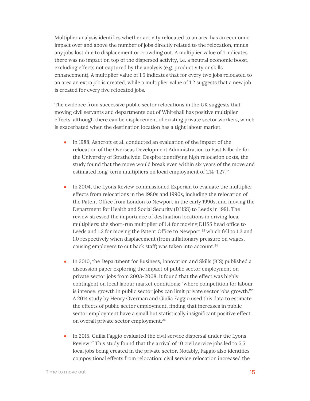Multiplier analysis identifies whether activity relocated to an area has an economic impact over and above the number of jobs directly related to the relocation, minus any jobs lost due to displacement or crowding out. A multiplier value of 1 indicates there was no impact on top of the dispersed activity, i.e. a neutral economic boost, excluding effects not captured by the analysis (e.g. productivity or skills enhancement). A multiplier value of 1.5 indicates that for every two jobs relocated to an area an extra job is created, while a multiplier value of 1.2 suggests that a new job is created for every five relocated jobs.

The evidence from successive public sector relocations in the UK suggests that moving civil servants and departments out of Whitehall has positive multiplier effects, although there can be displacement of existing private sector workers, which is exacerbated when the destination location has a tight labour market.

- In 1988, Ashcroft et al. conducted an evaluation of the impact of the relocation of the Overseas Development Administration to East Kilbride for the University of Strathclyde. Despite identifying high relocation costs, the study found that the move would break even within six years of the move and estimated long-term multipliers on local employment of 1.14-1.27.<sup>22</sup>
- In 2004, the Lyons Review commissioned Experian to evaluate the multiplier effects from relocations in the 1980s and 1990s, including the relocation of the Patent Office from London to Newport in the early 1990s, and moving the Department for Health and Social Security (DHSS) to Leeds in 1991. The review stressed the importance of destination locations in driving local multipliers: the short-run multiplier of 1.4 for moving DHSS head office to Leeds and 1.2 for moving the Patent Office to Newport,<sup>23</sup> which fell to 1.3 and 1.0 respectively when displacement (from inflationary pressure on wages, causing employers to cut back staff) was taken into account.<sup>24</sup>
- In 2010, the Department for Business, Innovation and Skills (BIS) published a discussion paper exploring the impact of public sector employment on private sector jobs from 2003-2008. It found that the effect was highly contingent on local labour market conditions: "where competition for labour is intense, growth in public sector jobs can limit private sector jobs growth."<sup>25</sup> A 2014 study by Henry Overman and Giulia Faggio used this data to estimate the effects of public sector employment, finding that increases in public sector employment have a small but statistically insignificant positive effect on overall private sector employment.<sup>26</sup>
- In 2015, Guilia Faggio evaluated the civil service dispersal under the Lyons Review.<sup>27</sup> This study found that the arrival of 10 civil service jobs led to 5.5 local jobs being created in the private sector. Notably, Faggio also identifies compositional effects from relocation: civil service relocation increased the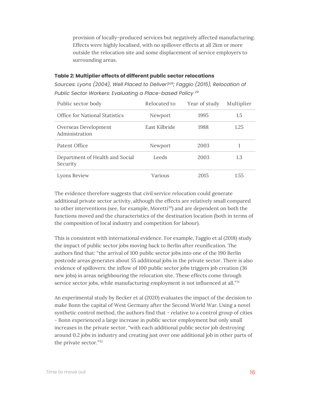provision of locally-produced services but negatively affected manufacturing. Effects were highly localised, with no spillover effects at all 2km or more outside the relocation site and some displacement of service employers to surrounding areas.

#### **Table 2: Multiplier effects of different public sector relocations**

*Sources: Lyons (2004), Well Placed to Deliver?<sup>28</sup>; Faggio (2015), Relocation of Public Sector Workers: Evaluating a Place-based Policy <sup>29</sup>*

| Public sector body                          | Relocated to  | Year of study | Multiplier |
|---------------------------------------------|---------------|---------------|------------|
| Office for National Statistics              | Newport       | 1995          | 1.5        |
| Overseas Development<br>Administration      | East Kilbride | 1988          | 1.25       |
| Patent Office                               | Newport       | 2003          |            |
| Department of Health and Social<br>Security | Leeds         | 2003          | 1.3        |
| <b>Lyons Review</b>                         | Various       | 2015          | 1.55       |

The evidence therefore suggests that civil service relocation could generate additional private sector activity, although the effects are relatively small compared to other interventions (see, for example, Moretti<sup>30</sup>) and are dependent on both the functions moved and the characteristics of the destination location (both in terms of the composition of local industry and competition for labour).

This is consistent with international evidence. For example, Faggio et al (2018) study the impact of public sector jobs moving back to Berlin after reunification. The authors find that: "the arrival of 100 public sector jobs into one of the 190 Berlin postcode areas generates about 55 additional jobs in the private sector. There is also evidence of spillovers: the inflow of 100 public sector jobs triggers job creation (36 new jobs) in areas neighbouring the relocation site. These effects come through service sector jobs, while manufacturing employment is not influenced at all."31

An experimental study by Becker et al (2020) evaluates the impact of the decision to make Bonn the capital of West Germany after the Second World War. Using a novel synthetic control method, the authors find that - relative to a control group of cities - Bonn experienced a large increase in public sector employment but only small increases in the private sector, "with each additional public sector job destroying around 0.2 jobs in industry and creating just over one additional job in other parts of the private sector."32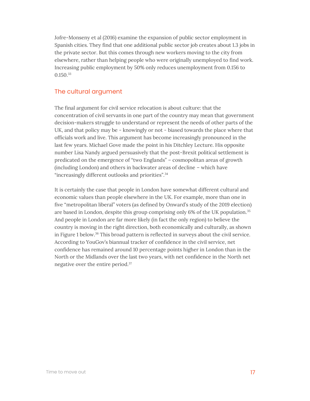Jofre-Monseny et al (2016) examine the expansion of public sector employment in Spanish cities. They find that one additional public sector job creates about 1.3 jobs in the private sector. But this comes through new workers moving to the city from elsewhere, rather than helping people who were originally unemployed to find work. Increasing public employment by 50% only reduces unemployment from 0.156 to 0.150 $33$ 

#### The cultural argument

The final argument for civil service relocation is about culture: that the concentration of civil servants in one part of the country may mean that government decision-makers struggle to understand or represent the needs of other parts of the UK, and that policy may be - knowingly or not - biased towards the place where that officials work and live. This argument has become increasingly pronounced in the last few years. Michael Gove made the point in his Ditchley Lecture. His opposite number Lisa Nandy argued persuasively that the post-Brexit political settlement is predicated on the emergence of "two Englands" – cosmopolitan areas of growth (including London) and others in backwater areas of decline – which have "increasingly different outlooks and priorities".<sup>34</sup>

It is certainly the case that people in London have somewhat different cultural and economic values than people elsewhere in the UK. For example, more than one in five "metropolitan liberal" voters (as defined by Onward's study of the 2019 election) are based in London, despite this group comprising only 6% of the UK population.<sup>35</sup> And people in London are far more likely (in fact the only region) to believe the country is moving in the right direction, both economically and culturally, as shown in Figure 1 below.<sup>36</sup> This broad pattern is reflected in surveys about the civil service. According to YouGov's biannual tracker of confidence in the civil service, net confidence has remained around 10 percentage points higher in London than in the North or the Midlands over the last two years, with net confidence in the North net negative over the entire period.37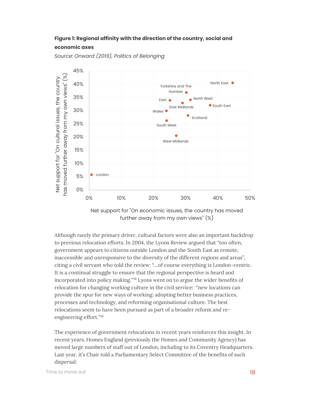#### **Figure 1: Regional affinity with the direction of the country, social and economic axes**



*Source: Onward (2019), Politics of Belonging*

Although rarely the primary driver, cultural factors were also an important backdrop to previous relocation efforts. In 2004, the Lyons Review argued that "too often, government appears to citizens outside London and the South East as remote, inaccessible and unresponsive to the diversity of the different regions and areas", citing a civil servant who told the review: "…of course everything is London-centric. It is a continual struggle to ensure that the regional perspective is heard and incorporated into policy making."<sup>38</sup> Lyons went on to argue the wider benefits of relocation for changing working culture in the civil service: "new locations can provide the spur for new ways of working: adopting better business practices, processes and technology, and reforming organisational culture. The best relocations seem to have been pursued as part of a broader reform and reengineering effort."<sup>39</sup>

The experience of government relocations in recent years reinforces this insight. In recent years, Homes England (previously the Homes and Community Agency) has moved large numbers of staff out of London, including to its Coventry Headquarters. Last year, it's Chair told a Parliamentary Select Committee of the benefits of such dispersal:

Net support for "On economic issues, the country has moved further away from my own views" (%)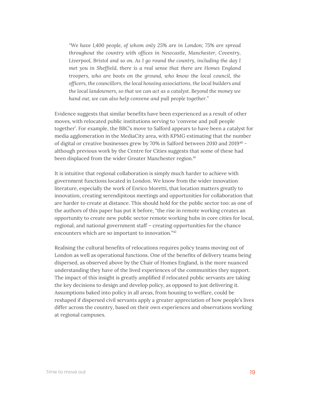*"We have 1,400 people, of whom only 25% are in London; 75% are spread throughout the country with offices in Newcastle, Manchester, Coventry, Liverpool, Bristol and so on. As I go round the country, including the day I met you in Sheffield, there is a real sense that there are Homes England troopers, who are boots on the ground, who know the local council, the officers, the councillors, the local housing associations, the local builders and the local landowners, so that we can act as a catalyst. Beyond the money we hand out, we can also help convene and pull people together."*

Evidence suggests that similar benefits have been experienced as a result of other moves, with relocated public institutions serving to 'convene and pull people together'. For example, the BBC's move to Salford appears to have been a catalyst for media agglomeration in the MediaCity area, with KPMG estimating that the number of digital or creative businesses grew by  $70\%$  in Salford between 2010 and 2019<sup>40</sup> although previous work by the Centre for Cities suggests that some of these had been displaced from the wider Greater Manchester region.<sup>41</sup>

It is intuitive that regional collaboration is simply much harder to achieve with government functions located in London. We know from the wider innovation literature, especially the work of Enrico Moretti, that location matters greatly to innovation, creating serendipitous meetings and opportunities for collaboration that are harder to create at distance. This should hold for the public sector too: as one of the authors of this paper has put it before, "the rise in remote working creates an opportunity to create new public sector remote working hubs in core cities for local, regional, and national government staff – creating opportunities for the chance encounters which are so important to innovation."<sup>42</sup>

Realising the cultural benefits of relocations requires policy teams moving out of London as well as operational functions. One of the benefits of delivery teams being dispersed, as observed above by the Chair of Homes England, is the more nuanced understanding they have of the lived experiences of the communities they support. The impact of this insight is greatly amplified if relocated public servants are taking the key decisions to design and develop policy, as opposed to just delivering it. Assumptions baked into policy in all areas, from housing to welfare, could be reshaped if dispersed civil servants apply a greater appreciation of how people's lives differ across the country, based on their own experiences and observations working at regional campuses.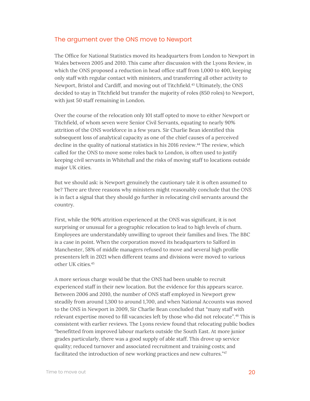#### The argument over the ONS move to Newport

The Office for National Statistics moved its headquarters from London to Newport in Wales between 2005 and 2010. This came after discussion with the Lyons Review, in which the ONS proposed a reduction in head office staff from 1,000 to 400, keeping only staff with regular contact with ministers, and transferring all other activity to Newport, Bristol and Cardiff, and moving out of Titchfield.<sup>43</sup> Ultimately, the ONS decided to stay in Titchfield but transfer the majority of roles (850 roles) to Newport, with just 50 staff remaining in London.

Over the course of the relocation only 101 staff opted to move to either Newport or Titchfield, of whom seven were Senior Civil Servants, equating to nearly 90% attrition of the ONS workforce in a few years. Sir Charlie Bean identified this subsequent loss of analytical capacity as one of the chief causes of a perceived decline in the quality of national statistics in his 2016 review.<sup>44</sup> The review, which called for the ONS to move some roles back to London, is often used to justify keeping civil servants in Whitehall and the risks of moving staff to locations outside major UK cities.

But we should ask: is Newport genuinely the cautionary tale it is often assumed to be? There are three reasons why ministers might reasonably conclude that the ONS is in fact a signal that they should go further in relocating civil servants around the country.

First, while the 90% attrition experienced at the ONS was significant, it is not surprising or unusual for a geographic relocation to lead to high levels of churn. Employees are understandably unwilling to uproot their families and lives. The BBC is a case in point. When the corporation moved its headquarters to Salford in Manchester, 58% of middle managers refused to move and several high profile presenters left in 2021 when different teams and divisions were moved to various other UK cities.<sup>45</sup>

A more serious charge would be that the ONS had been unable to recruit experienced staff in their new location. But the evidence for this appears scarce. Between 2006 and 2010, the number of ONS staff employed in Newport grew steadily from around 1,300 to around 1,700, and when National Accounts was moved to the ONS in Newport in 2009, Sir Charlie Bean concluded that "many staff with relevant expertise moved to fill vacancies left by those who did not relocate".<sup>46</sup> This is consistent with earlier reviews. The Lyons review found that relocating public bodies "benefitted from improved labour markets outside the South East. At more junior grades particularly, there was a good supply of able staff. This drove up service quality; reduced turnover and associated recruitment and training costs; and facilitated the introduction of new working practices and new cultures."<sup>47</sup>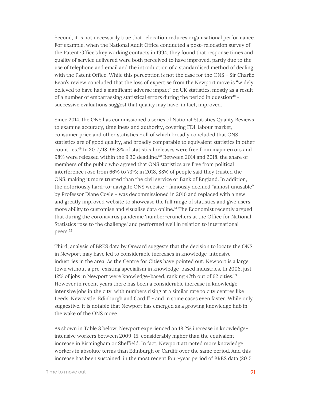Second, it is not necessarily true that relocation reduces organisational performance. For example, when the National Audit Office conducted a post-relocation survey of the Patent Office's key working contacts in 1994, they found that response times and quality of service delivered were both perceived to have improved, partly due to the use of telephone and email and the introduction of a standardised method of dealing with the Patent Office. While this perception is not the case for the ONS - Sir Charlie Bean's review concluded that the loss of expertise from the Newport move is "widely believed to have had a significant adverse impact" on UK statistics, mostly as a result of a number of embarrassing statistical errors during the period in question<sup>48</sup> successive evaluations suggest that quality may have, in fact, improved.

Since 2014, the ONS has commissioned a series of National Statistics Quality Reviews to examine accuracy, timeliness and authority, covering FDI, labour market, consumer price and other statistics - all of which broadly concluded that ONS statistics are of good quality, and broadly comparable to equivalent statistics in other countries.<sup>49</sup> In 2017/18, 99.8% of statistical releases were free from major errors and 98% were released within the 9:30 deadline.<sup>50</sup> Between 2014 and 2018, the share of members of the public who agreed that ONS statistics are free from political interference rose from 66% to 73%; in 2018, 88% of people said they trusted the ONS, making it more trusted than the civil service or Bank of England. In addition, the notoriously hard-to-navigate ONS website - famously deemed "almost unusable" by Professor Diane Coyle - was decommissioned in 2016 and replaced with a new and greatly improved website to showcase the full range of statistics and give users more ability to customise and visualise data online.<sup>51</sup> The Economist recently argued that during the coronavirus pandemic 'number-crunchers at the Office for National Statistics rose to the challenge' and performed well in relation to international peers.<sup>52</sup>

Third, analysis of BRES data by Onward suggests that the decision to locate the ONS in Newport may have led to considerable increases in knowledge-intensive industries in the area. As the Centre for Cities have pointed out, Newport is a large town without a pre-existing specialism in knowledge-based industries. In 2006, just 12% of jobs in Newport were knowledge-based, ranking 47th out of 62 cities.<sup>53</sup> However in recent years there has been a considerable increase in knowledgeintensive jobs in the city, with numbers rising at a similar rate to city centres like Leeds, Newcastle, Edinburgh and Cardiff - and in some cases even faster. While only suggestive, it is notable that Newport has emerged as a growing knowledge hub in the wake of the ONS move.

As shown in Table 3 below, Newport experienced an 18.2% increase in knowledgeintensive workers between 2009-15, considerably higher than the equivalent increase in Birmingham or Sheffield. In fact, Newport attracted more knowledge workers in absolute terms than Edinburgh or Cardiff over the same period. And this increase has been sustained: in the most recent four-year period of BRES data (2015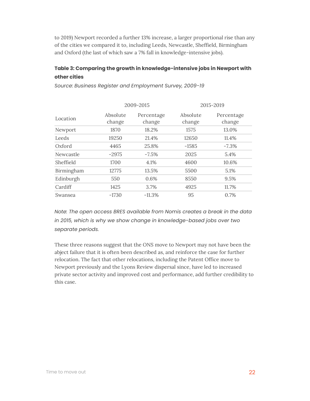to 2019) Newport recorded a further 13% increase, a larger proportional rise than any of the cities we compared it to, including Leeds, Newcastle, Sheffield, Birmingham and Oxford (the last of which saw a 7% fall in knowledge-intensive jobs).

#### **Table 3: Comparing the growth in knowledge-intensive jobs in Newport with other cities**

|            | 2009-2015          |                      |                    | 2015-2019            |
|------------|--------------------|----------------------|--------------------|----------------------|
| Location   | Absolute<br>change | Percentage<br>change | Absolute<br>change | Percentage<br>change |
| Newport    | 1870               | 18.2%                | 1575               | 13.0%                |
| Leeds      | 19250              | 21.4%                | 12650              | 11.4%                |
| Oxford     | 4465               | 25.8%                | $-1585$            | $-7.3%$              |
| Newcastle  | $-2975$            | $-7.5%$              | 2025               | 5.4%                 |
| Sheffield  | 1700               | 4.1%                 | 4600               | 10.6%                |
| Birmingham | 12775              | 13.5%                | 5500               | 5.1%                 |
| Edinburgh  | 550                | 0.6%                 | 8550               | 9.5%                 |
| Cardiff    | 1425               | 3.7%                 | 4925               | 11.7%                |
| Swansea    | $-1730$            | $-11.3%$             | 95                 | 0.7%                 |

*Source: Business Register and Employment Survey, 2009-19*

*Note: The open access BRES available from Nomis creates a break in the data in 2015, which is why we show change in knowledge-based jobs over two separate periods.*

These three reasons suggest that the ONS move to Newport may not have been the abject failure that it is often been described as, and reinforce the case for further relocation. The fact that other relocations, including the Patent Office move to Newport previously and the Lyons Review dispersal since, have led to increased private sector activity and improved cost and performance, add further credibility to this case.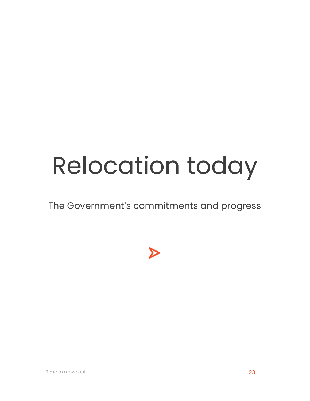## Relocation today

### The Government's commitments and progress

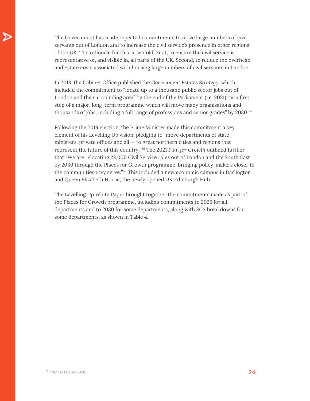The Government has made repeated commitments to move large numbers of civil servants out of London and to increase the civil service's presence in other regions of the UK. The rationale for this is twofold. First, to ensure the civil service is representative of, and visible in, all parts of the UK. Second, to reduce the overhead and estate costs associated with housing large numbers of civil servants in London.

In 2018, the Cabinet Office published the *Government Estates Strategy*, which included the commitment to "locate up to a thousand public sector jobs out of London and the surrounding area" by the end of the Parliament (i.e. 2021) "as a first step of a major, long-term programme which will move many organisations and thousands of jobs, including a full range of professions and senior grades" by 2030.<sup>54</sup>

Following the 2019 election, the Prime Minister made this commitment a key element of his Levelling Up vision, pledging to "move departments of state ministers, private offices and all  $-$  to great northern cities and regions that represent the future of this country."<sup>55</sup> The 2021 *Plan for Growth* outlined further that "We are relocating 22,000 Civil Service roles out of London and the South East by 2030 through the Places for Growth programme, bringing policy-makers closer to the communities they serve."<sup>56</sup> This included a new economic campus in Darlington and Queen Elizabeth House, the newly opened UK Edinburgh Hub.

The Levelling Up White Paper brought together the commitments made as part of the Places for Growth programme, including commitments to 2025 for all departments and to 2030 for some departments, along with SCS breakdowns for some departments, as shown in Table 4.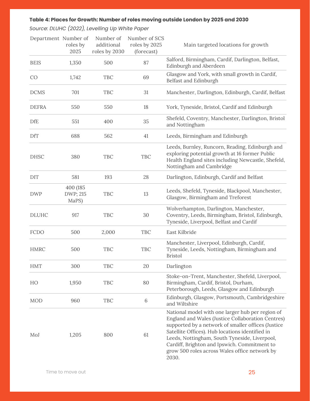#### **Table 4: Places for Growth: Number of roles moving outside London by 2025 and 2030**

*Source: DLUHC (2022), Levelling Up White Paper*

| Department Number of | roles by<br>2025              | Number of<br>additional<br>roles by 2030 | Number of SCS<br>roles by 2025<br>(forecast) | Main targeted locations for growth                                                                                                                                                                                                                                                                                                                                        |
|----------------------|-------------------------------|------------------------------------------|----------------------------------------------|---------------------------------------------------------------------------------------------------------------------------------------------------------------------------------------------------------------------------------------------------------------------------------------------------------------------------------------------------------------------------|
| <b>BEIS</b>          | 1,350                         | 500                                      | 87                                           | Salford, Birmingham, Cardif, Darlington, Belfast,<br>Edinburgh and Aberdeen                                                                                                                                                                                                                                                                                               |
| CO                   | 1,742                         | <b>TBC</b>                               | 69                                           | Glasgow and York, with small growth in Cardif,<br>Belfast and Edinburgh                                                                                                                                                                                                                                                                                                   |
| <b>DCMS</b>          | 701                           | TBC                                      | 31                                           | Manchester, Darlington, Edinburgh, Cardif, Belfast                                                                                                                                                                                                                                                                                                                        |
| <b>DEFRA</b>         | 550                           | 550                                      | 18                                           | York, Tyneside, Bristol, Cardif and Edinburgh                                                                                                                                                                                                                                                                                                                             |
| <b>DfE</b>           | 551                           | 400                                      | 35                                           | Shefeld, Coventry, Manchester, Darlington, Bristol<br>and Nottingham                                                                                                                                                                                                                                                                                                      |
| DfT                  | 688                           | 562                                      | 41                                           | Leeds, Birmingham and Edinburgh                                                                                                                                                                                                                                                                                                                                           |
| <b>DHSC</b>          | 380                           | TBC                                      | TBC                                          | Leeds, Burnley, Runcorn, Reading, Edinburgh and<br>exploring potential growth at 16 former Public<br>Health England sites including Newcastle, Shefeld,<br>Nottingham and Cambridge                                                                                                                                                                                       |
| DIT                  | 581                           | 193                                      | 28                                           | Darlington, Edinburgh, Cardif and Belfast                                                                                                                                                                                                                                                                                                                                 |
| <b>DWP</b>           | 400 (185<br>DWP; 215<br>MaPS) | TBC                                      | 13                                           | Leeds, Shefeld, Tyneside, Blackpool, Manchester,<br>Glasgow, Birmingham and Treforest                                                                                                                                                                                                                                                                                     |
| <b>DLUHC</b>         | 917                           | TBC                                      | 30                                           | Wolverhampton, Darlington, Manchester,<br>Coventry, Leeds, Birmingham, Bristol, Edinburgh,<br>Tyneside, Liverpool, Belfast and Cardif                                                                                                                                                                                                                                     |
| <b>FCDO</b>          | 500                           | 2,000                                    | <b>TBC</b>                                   | East Kilbride                                                                                                                                                                                                                                                                                                                                                             |
| <b>HMRC</b>          | 500                           | TBC                                      | TBC                                          | Manchester, Liverpool, Edinburgh, Cardif,<br>Tyneside, Leeds, Nottingham, Birmingham and<br><b>Bristol</b>                                                                                                                                                                                                                                                                |
| <b>HMT</b>           | 300                           | TBC                                      | 20                                           | Darlington                                                                                                                                                                                                                                                                                                                                                                |
| HO                   | 1,950                         | TBC                                      | 80                                           | Stoke-on-Trent, Manchester, Shefeld, Liverpool,<br>Birmingham, Cardif, Bristol, Durham,<br>Peterborough, Leeds, Glasgow and Edinburgh                                                                                                                                                                                                                                     |
| <b>MOD</b>           | 960                           | TBC                                      | 6                                            | Edinburgh, Glasgow, Portsmouth, Cambridgeshire<br>and Wiltshire                                                                                                                                                                                                                                                                                                           |
| MoJ                  | 1,205                         | 800                                      | 61                                           | National model with one larger hub per region of<br>England and Wales (Justice Collaboration Centres)<br>supported by a network of smaller offices (Justice<br>Satellite Offices). Hub locations identified in<br>Leeds, Nottingham, South Tyneside, Liverpool,<br>Cardiff, Brighton and Ipswich. Commitment to<br>grow 500 roles across Wales office network by<br>2030. |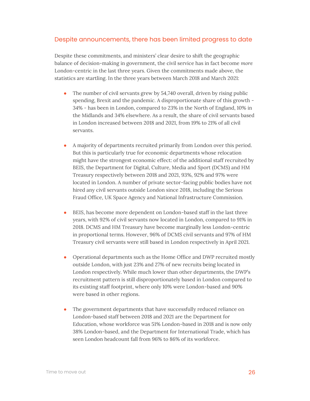#### Despite announcements, there has been limited progress to date

Despite these commitments, and ministers' clear desire to shift the geographic balance of decision-making in government, the civil service has in fact become *more*  London-centric in the last three years. Given the commitments made above, the statistics are startling. In the three years between March 2018 and March 2021:

- The number of civil servants grew by 54,740 overall, driven by rising public spending, Brexit and the pandemic. A disproportionate share of this growth - 34% - has been in London, compared to 23% in the North of England, 10% in the Midlands and 34% elsewhere. As a result, the share of civil servants based in London increased between 2018 and 2021, from 19% to 21% of all civil servants.
- A majority of departments recruited primarily from London over this period. But this is particularly true for economic departments whose relocation might have the strongest economic effect: of the additional staff recruited by BEIS, the Department for Digital, Culture, Media and Sport (DCMS) and HM Treasury respectively between 2018 and 2021, 93%, 92% and 97% were located in London. A number of private sector-facing public bodies have not hired any civil servants outside London since 2018, including the Serious Fraud Office, UK Space Agency and National Infrastructure Commission.
- BEIS, has become more dependent on London-based staff in the last three years, with 92% of civil servants now located in London, compared to 91% in 2018. DCMS and HM Treasury have become marginally less London-centric in proportional terms. However, 96% of DCMS civil servants and 97% of HM Treasury civil servants were still based in London respectively in April 2021.
- Operational departments such as the Home Office and DWP recruited mostly outside London, with just 23% and 27% of new recruits being located in London respectively. While much lower than other departments, the DWP's recruitment pattern is still disproportionately based in London compared to its existing staff footprint, where only 10% were London-based and 90% were based in other regions.
- The government departments that have successfully reduced reliance on London-based staff between 2018 and 2021 are the Department for Education, whose workforce was 51% London-based in 2018 and is now only 38% London-based, and the Department for International Trade, which has seen London headcount fall from 96% to 86% of its workforce.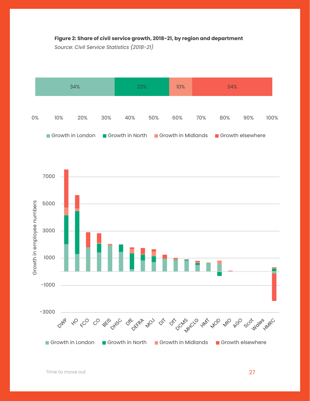#### **Figure 2: Share of civil service growth, 2018-21, by region and department** *Source: Civil Service Statistics (2018-21)*

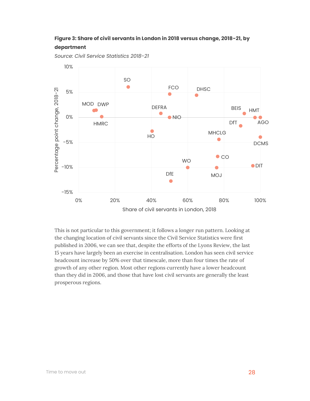#### **Figure 3: Share of civil servants in London in 2018 versus change, 2018-21, by department**



*Source: Civil Service Statistics 2018-21*

This is not particular to this government; it follows a longer run pattern. Looking at the changing location of civil servants since the Civil Service Statistics were first published in 2006, we can see that, despite the efforts of the Lyons Review, the last 15 years have largely been an exercise in centralisation. London has seen civil service headcount increase by 50% over that timescale, more than four times the rate of growth of any other region. Most other regions currently have a lower headcount than they did in 2006, and those that have lost civil servants are generally the least prosperous regions.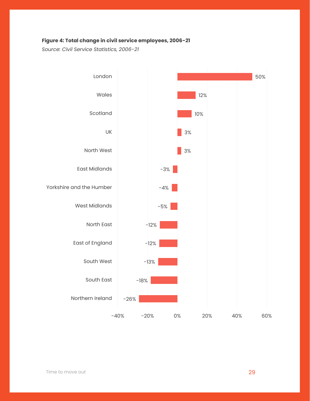#### **Figure 4: Total change in civil service employees, 2006-21**

*Source: Civil Service Statistics, 2006-21*

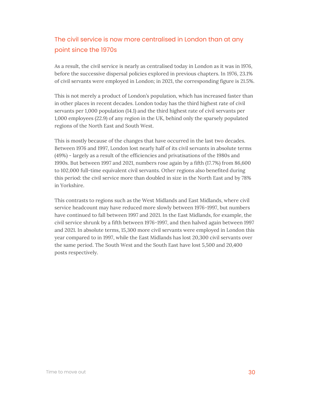#### The civil service is now more centralised in London than at any point since the 1970s

As a result, the civil service is nearly as centralised today in London as it was in 1976, before the successive dispersal policies explored in previous chapters. In 1976, 23.1% of civil servants were employed in London; in 2021, the corresponding figure is 21.5%.

This is not merely a product of London's population, which has increased faster than in other places in recent decades. London today has the third highest rate of civil servants per 1,000 population (14.1) and the third highest rate of civil servants per 1,000 employees (22.9) of any region in the UK, behind only the sparsely populated regions of the North East and South West.

This is mostly because of the changes that have occurred in the last two decades. Between 1976 and 1997, London lost nearly half of its civil servants in absolute terms (49%) - largely as a result of the efficiencies and privatisations of the 1980s and 1990s. But between 1997 and 2021, numbers rose again by a fifth (17.7%) from 86,600 to 102,000 full-time equivalent civil servants. Other regions also benefited during this period: the civil service more than doubled in size in the North East and by 78% in Yorkshire.

This contrasts to regions such as the West Midlands and East Midlands, where civil service headcount may have reduced more slowly between 1976-1997, but numbers have continued to fall between 1997 and 2021. In the East Midlands, for example, the civil service shrunk by a fifth between 1976-1997, and then halved again between 1997 and 2021. In absolute terms, 15,300 more civil servants were employed in London this year compared to in 1997, while the East Midlands has lost 20,300 civil servants over the same period. The South West and the South East have lost 5,500 and 20,400 posts respectively.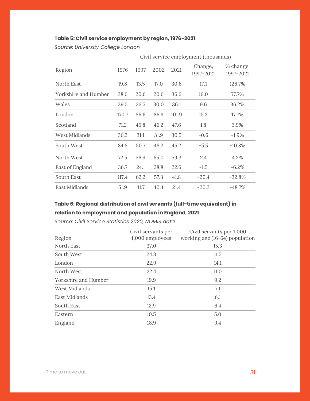#### **Table 5: Civil service employment by region, 1976-2021**

*Source: University College London*

| Region               | 1976  | 1997 | 2002 | 2021  | Change,<br>1997-2021 | % change,<br>1997-2021 |
|----------------------|-------|------|------|-------|----------------------|------------------------|
| North East           | 19.8  | 13.5 | 17.0 | 30.6  | 17.1                 | 126.7%                 |
| Yorkshire and Humber | 38.6  | 20.6 | 20.6 | 36.6  | 16.0                 | 77.7%                  |
| Wales                | 39.5  | 26.5 | 30.0 | 36.1  | 9.6                  | 36.2%                  |
| London               | 170.7 | 86.6 | 86.8 | 101.9 | 15.3                 | 17.7%                  |
| Scotland             | 71.2  | 45.8 | 46.2 | 47.6  | 1.8                  | 3.9%                   |
| West Midlands        | 36.2  | 31.1 | 31.9 | 30.5  | $-0.6$               | $-1.9\%$               |
| South West           | 84.8  | 50.7 | 48.2 | 45.2  | $-5.5$               | $-10.8%$               |
| North West           | 72.5  | 56.9 | 65.0 | 59.3  | 2.4                  | 4.2%                   |
| East of England      | 36.7  | 24.1 | 28.8 | 22.6  | $-1.5$               | $-6.2%$                |
| South East           | 117.4 | 62.2 | 57.3 | 41.8  | $-20.4$              | $-32.8%$               |
| East Midlands        | 51.9  | 41.7 | 40.4 | 21.4  | $-20.3$              | $-48.7%$               |

**Civil service employment (thousands)**

#### **Table 6: Regional distribution of civil servants (full-time equivalent) in relation to employment and population in England, 2021**

*Source: Civil Service Statistics 2020, NOMIS data*

|                      | Civil servants per | Civil servants per 1,000       |
|----------------------|--------------------|--------------------------------|
| Region               | 1,000 employees    | working age (16-64) population |
| North East           | 37.0               | 15.3                           |
| South West           | 24.3               | 11.5                           |
| London               | 22.9               | 14.1                           |
| North West           | 22.4               | 11.0                           |
| Yorkshire and Humber | 19.9               | 9.2                            |
| West Midlands        | 15.1               | 7.1                            |
| East Midlands        | 13.4               | 6.1                            |
| South East           | 12.9               | 6.4                            |
| Eastern              | 10.5               | 5.0                            |
| England              | 18.9               | 9.4                            |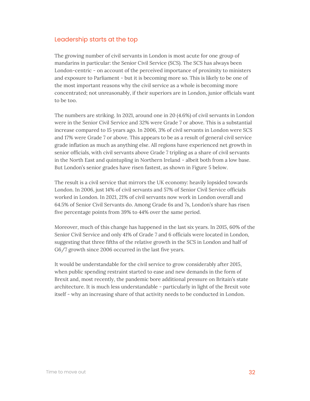#### Leadership starts at the top

The growing number of civil servants in London is most acute for one group of mandarins in particular: the Senior Civil Service (SCS). The SCS has always been London-centric - on account of the perceived importance of proximity to ministers and exposure to Parliament - but it is becoming more so. This is likely to be one of the most important reasons why the civil service as a whole is becoming more concentrated; not unreasonably, if their superiors are in London, junior officials want to be too.

The numbers are striking. In 2021, around one in 20 (4.6%) of civil servants in London were in the Senior Civil Service and 32% were Grade 7 or above. This is a substantial increase compared to 15 years ago. In 2006, 3% of civil servants in London were SCS and 17% were Grade 7 or above. This appears to be as a result of general civil service grade inflation as much as anything else. All regions have experienced net growth in senior officials, with civil servants above Grade 7 tripling as a share of civil servants in the North East and quintupling in Northern Ireland - albeit both from a low base. But London's senior grades have risen fastest, as shown in Figure 5 below.

The result is a civil service that mirrors the UK economy: heavily lopsided towards London. In 2006, just 14% of civil servants and 57% of Senior Civil Service officials worked in London. In 2021, 21% of civil servants now work in London overall and 64.5% of Senior Civil Servants do. Among Grade 6s and 7s, London's share has risen five percentage points from 39% to 44% over the same period.

Moreover, much of this change has happened in the last six years. In 2015, 60% of the Senior Civil Service and only 41% of Grade 7 and 6 officials were located in London, suggesting that three fifths of the relative growth in the SCS in London and half of G6/7 growth since 2006 occurred in the last five years.

It would be understandable for the civil service to grow considerably after 2015, when public spending restraint started to ease and new demands in the form of Brexit and, most recently, the pandemic bore additional pressure on Britain's state architecture. It is much less understandable - particularly in light of the Brexit vote itself - why an increasing share of that activity needs to be conducted in London.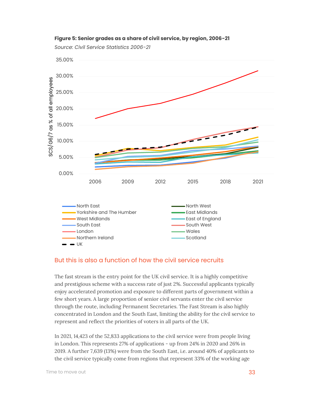

#### **Figure 5: Senior grades as a share of civil service, by region, 2006-21**

*Source: Civil Service Statistics 2006-21*

#### But this is also a function of how the civil service recruits

The fast stream is the entry point for the UK civil service. It is a highly competitive and prestigious scheme with a success rate of just 2%. Successful applicants typically enjoy accelerated promotion and exposure to different parts of government within a few short years. A large proportion of senior civil servants enter the civil service through the route, including Permanent Secretaries. The Fast Stream is also highly concentrated in London and the South East, limiting the ability for the civil service to represent and reflect the priorities of voters in all parts of the UK.

In 2021, 14,423 of the 52,833 applications to the civil service were from people living in London. This represents 27% of applications - up from 24% in 2020 and 26% in 2019. A further 7,639 (13%) were from the South East, i.e. around 40% of applicants to the civil service typically come from regions that represent 33% of the working age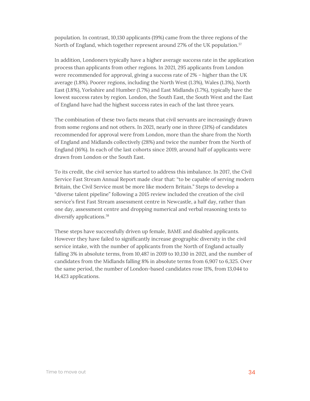population. In contrast, 10,130 applicants (19%) came from the three regions of the North of England, which together represent around 27% of the UK population.<sup>57</sup>

In addition, Londoners typically have a higher average success rate in the application process than applicants from other regions. In 2021, 295 applicants from London were recommended for approval, giving a success rate of 2% - higher than the UK average (1.8%). Poorer regions, including the North West (1.3%), Wales (1.3%), North East (1.8%), Yorkshire and Humber (1.7%) and East Midlands (1.7%), typically have the lowest success rates by region. London, the South East, the South West and the East of England have had the highest success rates in each of the last three years.

The combination of these two facts means that civil servants are increasingly drawn from some regions and not others. In 2021, nearly one in three (31%) of candidates recommended for approval were from London, more than the share from the North of England and Midlands collectively (28%) and twice the number from the North of England (16%). In each of the last cohorts since 2019, around half of applicants were drawn from London or the South East.

To its credit, the civil service has started to address this imbalance. In 2017, the Civil Service Fast Stream Annual Report made clear that: "to be capable of serving modern Britain, the Civil Service must be more like modern Britain." Steps to develop a "diverse talent pipeline" following a 2015 review included the creation of the civil service's first Fast Stream assessment centre in Newcastle, a half day, rather than one day, assessment centre and dropping numerical and verbal reasoning tests to diversify applications.<sup>58</sup>

These steps have successfully driven up female, BAME and disabled applicants. However they have failed to significantly increase geographic diversity in the civil service intake, with the number of applicants from the North of England actually falling 3% in absolute terms, from 10,487 in 2019 to 10,130 in 2021, and the number of candidates from the Midlands falling 8% in absolute terms from 6,907 to 6,325. Over the same period, the number of London-based candidates rose 11%, from 13,044 to 14,423 applications.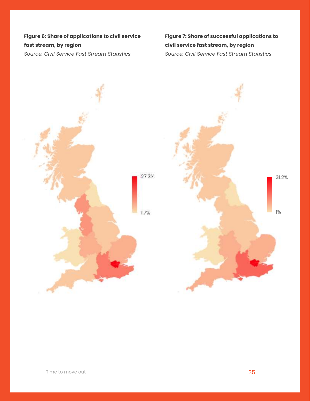**Figure 6: Share of applications to civil service fast stream, by region** *Source: Civil Service Fast Stream Statistics*

**Figure 7: Share of successful applications to civil service fast stream, by region** *Source: Civil Service Fast Stream Statistics*

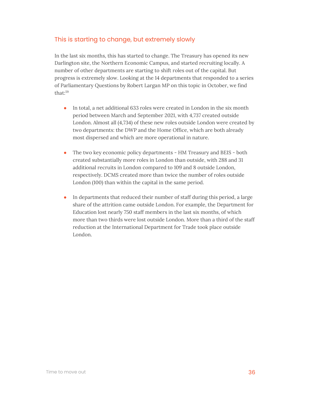#### This is starting to change, but extremely slowly

In the last six months, this has started to change. The Treasury has opened its new Darlington site, the Northern Economic Campus, and started recruiting locally. A number of other departments are starting to shift roles out of the capital. But progress is extremely slow. Looking at the 14 departments that responded to a series of Parliamentary Questions by Robert Largan MP on this topic in October, we find that:<sup>59</sup>

- In total, a net additional 633 roles were created in London in the six month period between March and September 2021, with 4,737 created outside London. Almost all (4,734) of these new roles outside London were created by two departments: the DWP and the Home Office, which are both already most dispersed and which are more operational in nature.
- The two key economic policy departments HM Treasury and BEIS both created substantially more roles in London than outside, with 288 and 31 additional recruits in London compared to 109 and 8 outside London, respectively. DCMS created more than twice the number of roles outside London (100) than within the capital in the same period.
- In departments that reduced their number of staff during this period, a large share of the attrition came outside London. For example, the Department for Education lost nearly 750 staff members in the last six months, of which more than two thirds were lost outside London. More than a third of the staff reduction at the International Department for Trade took place outside London.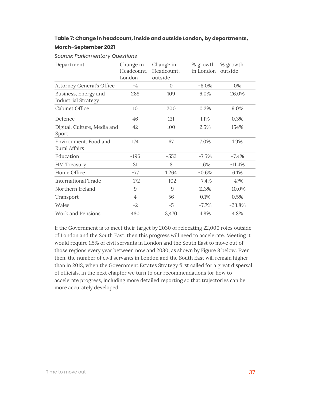#### **Table 7: Change in headcount, inside and outside London, by departments,**

#### **March-September 2021**

#### *Source: Parliamentary Questions*

| Department                                         | Change in<br>Headcount,<br>London | Change in<br>Headcount,<br>outside | % growth<br>in London | % growth<br>outside |
|----------------------------------------------------|-----------------------------------|------------------------------------|-----------------------|---------------------|
| <b>Attorney General's Office</b>                   | $-4$                              | $\Omega$                           | $-8.0\%$              | 0%                  |
| Business, Energy and<br><b>Industrial Strategy</b> | 288                               | 109                                | 6.0%                  | 26.0%               |
| Cabinet Office                                     | 10                                | 200                                | 0.2%                  | 9.0%                |
| Defence                                            | 46                                | 131                                | 1.1%                  | 0.3%                |
| Digital, Culture, Media and<br>Sport               | 42                                | 100                                | 2.5%                  | 154%                |
| Environment, Food and<br><b>Rural Affairs</b>      | 174                               | 67                                 | 7.0%                  | 1.9%                |
| Education                                          | $-196$                            | $-552$                             | $-7.5%$               | $-7.4%$             |
| <b>HM</b> Treasury                                 | 31                                | 8                                  | 1.6%                  | $-11.4%$            |
| Home Office                                        | $-77$                             | 1,264                              | $-0.6%$               | 6.1%                |
| <b>International Trade</b>                         | $-172$                            | $-102$                             | $-7.4%$               | $-47%$              |
| Northern Ireland                                   | 9                                 | -9                                 | 11.3%                 | $-10.0\%$           |
| Transport                                          | $\overline{4}$                    | 56                                 | 0.1%                  | 0.5%                |
| Wales                                              | $-2$                              | $-5$                               | $-7.7%$               | $-23.8%$            |
| <b>Work and Pensions</b>                           | 480                               | 3,470                              | 4.8%                  | 4.8%                |

If the Government is to meet their target by 2030 of relocating 22,000 roles outside of London and the South East, then this progress will need to accelerate. Meeting it would require 1.5% of civil servants in London and the South East to move out of those regions every year between now and 2030, as shown by Figure 8 below. Even then, the number of civil servants in London and the South East will remain higher than in 2018, when the Government Estates Strategy first called for a great dispersal of officials. In the next chapter we turn to our recommendations for how to accelerate progress, including more detailed reporting so that trajectories can be more accurately developed.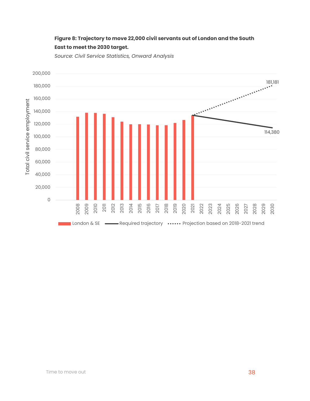#### **Figure 8: Trajectory to move 22,000 civil servants out of London and the South East to meet the 2030 target.**



*Source: Civil Service Statistics, Onward Analysis*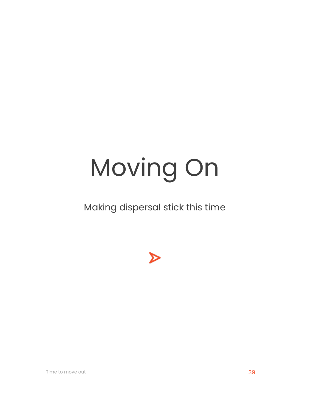## Moving On

### Making dispersal stick this time

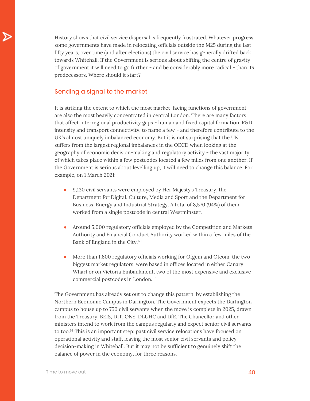History shows that civil service dispersal is frequently frustrated. Whatever progress some governments have made in relocating officials outside the M25 during the last fifty years, over time (and after elections) the civil service has generally drifted back towards Whitehall. If the Government is serious about shifting the centre of gravity of government it will need to go further - and be considerably more radical - than its predecessors. Where should it start?

#### Sending a signal to the market

It is striking the extent to which the most market-facing functions of government are also the most heavily concentrated in central London. There are many factors that affect interregional productivity gaps - human and fixed capital formation, R&D intensity and transport connectivity, to name a few - and therefore contribute to the UK's almost uniquely imbalanced economy. But it is not surprising that the UK suffers from the largest regional imbalances in the OECD when looking at the geography of economic decision-making and regulatory activity - the vast majority of which takes place within a few postcodes located a few miles from one another. If the Government is serious about levelling up, it will need to change this balance. For example, on 1 March 2021:

- 9,130 civil servants were employed by Her Majesty's Treasury, the Department for Digital, Culture, Media and Sport and the Department for Business, Energy and Industrial Strategy. A total of 8,570 (94%) of them worked from a single postcode in central Westminster.
- Around 5,000 regulatory officials employed by the Competition and Markets Authority and Financial Conduct Authority worked within a few miles of the Bank of England in the City.<sup>60</sup>
- More than 1,600 regulatory officials working for Ofgem and Ofcom, the two biggest market regulators, were based in offices located in either Canary Wharf or on Victoria Embankment, two of the most expensive and exclusive commercial postcodes in London. <sup>61</sup>

The Government has already set out to change this pattern, by establishing the Northern Economic Campus in Darlington. The Government expects the Darlington campus to house up to 750 civil servants when the move is complete in 2025, drawn from the Treasury, BEIS, DIT, ONS, DLUHC and DfE. The Chancellor and other ministers intend to work from the campus regularly and expect senior civil servants to too.<sup>62</sup> This is an important step: past civil service relocations have focused on operational activity and staff, leaving the most senior civil servants and policy decision-making in Whitehall. But it may not be sufficient to genuinely shift the balance of power in the economy, for three reasons.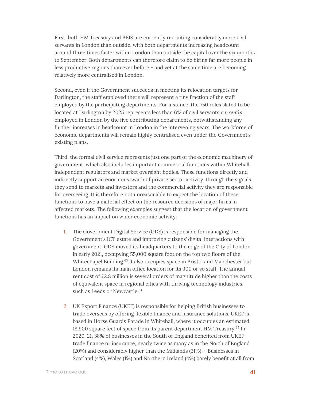First, both HM Treasury and BEIS are currently recruiting considerably more civil servants in London than outside, with both departments increasing headcount around three times faster within London than outside the capital over the six months to September. Both departments can therefore claim to be hiring far more people in less productive regions than ever before - and yet at the same time are becoming relatively more centralised in London.

Second, even if the Government succeeds in meeting its relocation targets for Darlington, the staff employed there will represent a tiny fraction of the staff employed by the participating departments. For instance, the 750 roles slated to be located at Darlington by 2025 represents less than 6% of civil servants *currently* employed in London by the five contributing departments, notwithstanding any further increases in headcount in London in the intervening years. The workforce of economic departments will remain highly centralised even under the Government's existing plans.

Third, the formal civil service represents just one part of the economic machinery of government, which also includes important commercial functions within Whitehall, independent regulators and market oversight bodies. These functions directly and indirectly support an enormous swath of private sector activity, through the signals they send to markets and investors and the commercial activity they are responsible for overseeing. It is therefore not unreasonable to expect the location of these functions to have a material effect on the resource decisions of major firms in affected markets. The following examples suggest that the location of government functions has an impact on wider economic activity:

- 1. The Government Digital Service (GDS) is responsible for managing the Government's ICT estate and improving citizens' digital interactions with government. GDS moved its headquarters to the edge of the City of London in early 2021, occupying 55,000 square foot on the top two floors of the Whitechapel Building.<sup>63</sup> It also occupies space in Bristol and Manchester but London remains its main office location for its 900 or so staff. The annual rent cost of £2.8 million is several orders of magnitude higher than the costs of equivalent space in regional cities with thriving technology industries, such as Leeds or Newcastle.<sup>64</sup>
- 2. UK Export Finance (UKEF) is responsible for helping British businesses to trade overseas by offering flexible finance and insurance solutions. UKEF is based in Horse Guards Parade in Whitehall, where it occupies an estimated 18,900 square feet of space from its parent department HM Treasury.<sup>65</sup> In 2020-21, 38% of businesses in the South of England benefited from UKEF trade finance or insurance, nearly twice as many as in the North of England  $(20%)$  and considerably higher than the Midlands  $(31%)$ .<sup>66</sup> Businesses in Scotland (4%), Wales (1%) and Northern Ireland (4%) barely benefit at all from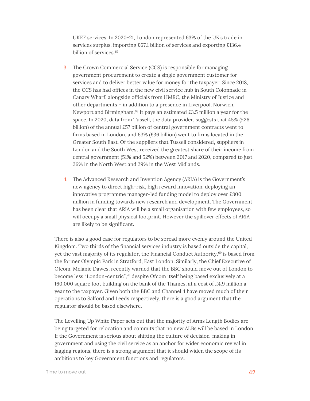UKEF services. In 2020-21, London represented 63% of the UK's trade in services surplus, importing £67.1 billion of services and exporting £136.4 billion of services  $67$ 

- 3. The Crown Commercial Service (CCS) is responsible for managing government procurement to create a single government customer for services and to deliver better value for money for the taxpayer. Since 2018, the CCS has had offices in the new civil service hub in South Colonnade in Canary Wharf, alongside officials from HMRC, the Ministry of Justice and other departments – in addition to a presence in Liverpool, Norwich, Newport and Birmingham.<sup>68</sup> It pays an estimated £3.5 million a year for the space. In 2020, data from Tussell, the data provider, suggests that 45% (£26 billion) of the annual £57 billion of central government contracts went to firms based in London, and 63% (£36 billion) went to firms located in the Greater South East. Of the suppliers that Tussell considered, suppliers in London and the South West received the greatest share of their income from central government (51% and 52%) between 2017 and 2020, compared to just 26% in the North West and 29% in the West Midlands.
- 4. The Advanced Research and Invention Agency (ARIA) is the Government's new agency to direct high-risk, high reward innovation, deploying an innovative programme manager-led funding model to deploy over £800 million in funding towards new research and development. The Government has been clear that ARIA will be a small organisation with few employees, so will occupy a small physical footprint. However the spillover effects of ARIA are likely to be significant.

There is also a good case for regulators to be spread more evenly around the United Kingdom. Two thirds of the financial services industry is based outside the capital, yet the vast majority of its regulator, the Financial Conduct Authority, $69$  is based from the former Olympic Park in Stratford, East London. Similarly, the Chief Executive of Ofcom, Melanie Dawes, recently warned that the BBC should move out of London to become less "London-centric",<sup>70</sup> despite Ofcom itself being based exclusively at a 160,000 square foot building on the bank of the Thames, at a cost of £4.9 million a year to the taxpayer. Given both the BBC and Channel 4 have moved much of their operations to Salford and Leeds respectively, there is a good argument that the regulator should be based elsewhere.

The Levelling Up White Paper sets out that the majority of Arms Length Bodies are being targeted for relocation and commits that no new ALBs will be based in London. If the Government is serious about shifting the culture of decision-making in government and using the civil service as an anchor for wider economic revival in lagging regions, there is a strong argument that it should widen the scope of its ambitions to key Government functions and regulators.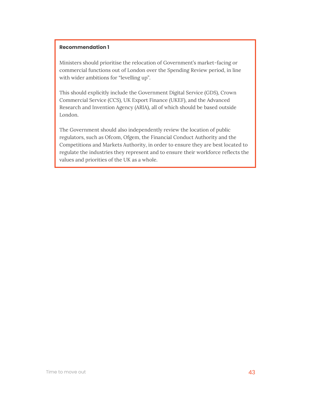#### **Recommendation 1**

Ministers should prioritise the relocation of Government's market-facing or commercial functions out of London over the Spending Review period, in line with wider ambitions for "levelling up".

This should explicitly include the Government Digital Service (GDS), Crown Commercial Service (CCS), UK Export Finance (UKEF), and the Advanced Research and Invention Agency (ARIA), all of which should be based outside London.

The Government should also independently review the location of public regulators, such as Ofcom, Ofgem, the Financial Conduct Authority and the Competitions and Markets Authority, in order to ensure they are best located to regulate the industries they represent and to ensure their workforce reflects the values and priorities of the UK as a whole.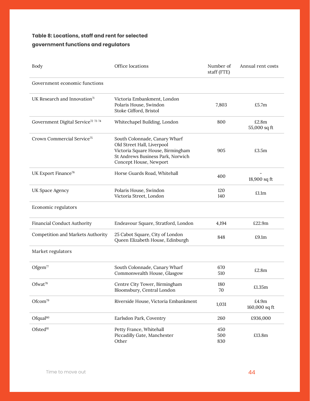#### **Table 8: Locations, staff and rent for selected government functions and regulators**

| Body                                           | Office locations                                                                                                                                                | Number of<br>staff (FTE) | Annual rent costs      |
|------------------------------------------------|-----------------------------------------------------------------------------------------------------------------------------------------------------------------|--------------------------|------------------------|
| Government economic functions                  |                                                                                                                                                                 |                          |                        |
| UK Research and Innovation $71$                | Victoria Embankment, London<br>Polaris House, Swindon<br>Stoke Gifford, Bristol                                                                                 | 7,803                    | £5.7m                  |
| Government Digital Service <sup>72</sup> 73 74 | Whitechapel Building, London                                                                                                                                    | 800                      | £2.8m<br>55,000 sq ft  |
| Crown Commercial Service <sup>75</sup>         | South Colonnade, Canary Wharf<br>Old Street Hall, Liverpool<br>Victoria Square House, Birmingham<br>St Andrews Business Park, Norwich<br>Concept House, Newport | 905                      | £3.5m                  |
| UK Export Finance <sup>76</sup>                | Horse Guards Road, Whitehall                                                                                                                                    | 400                      | 18,900 sq ft           |
| UK Space Agency                                | Polaris House, Swindon<br>Victoria Street, London                                                                                                               | 120<br>140               | £1.1m                  |
| Economic regulators                            |                                                                                                                                                                 |                          |                        |
| Financial Conduct Authority                    | Endeavour Square, Stratford, London                                                                                                                             | 4,194                    | £22.9m                 |
| Competition and Markets Authority              | 25 Cabot Square, City of London<br>Queen Elizabeth House, Edinburgh                                                                                             | 848                      | £9.1m                  |
| Market regulators                              |                                                                                                                                                                 |                          |                        |
| Ofgem $77$                                     | South Colonnade, Canary Wharf<br>Commonwealth House, Glasgow                                                                                                    | 670<br>510               | £2.8m                  |
| Ofwat <sup>78</sup>                            | Centre City Tower, Birmingham<br>Bloomsbury, Central London                                                                                                     | 180<br>70                | £1.35m                 |
| Ofcom <sup>79</sup>                            | Riverside House, Victoria Embankment                                                                                                                            | 1,031                    | £4.9m<br>160,000 sq ft |
| Ofqual <sup>80</sup>                           | Earlsdon Park, Coventry                                                                                                                                         | 260                      | £936,000               |
| Ofsted <sup>81</sup>                           | Petty France, Whitehall<br>Piccadilly Gate, Manchester<br>Other                                                                                                 | 450<br>500<br>830        | £13.8m                 |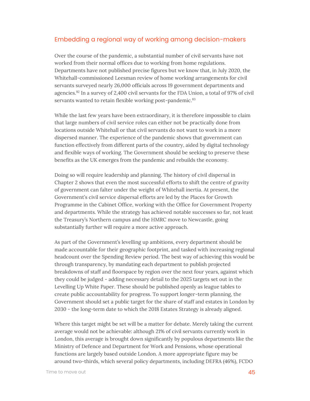#### Embedding a regional way of working among decision-makers

Over the course of the pandemic, a substantial number of civil servants have not worked from their normal offices due to working from home regulations. Departments have not published precise figures but we know that, in July 2020, the Whitehall-commissioned Leesman review of home working arrangements for civil servants surveyed nearly 26,000 officials across 19 government departments and agencies.<sup>82</sup> In a survey of 2,400 civil servants for the FDA Union, a total of 97% of civil servants wanted to retain flexible working post-pandemic.<sup>83</sup>

While the last few years have been extraordinary, it is therefore impossible to claim that large numbers of civil service roles can either not be practically done from locations outside Whitehall or that civil servants do not want to work in a more dispersed manner. The experience of the pandemic shows that government can function effectively from different parts of the country, aided by digital technology and flexible ways of working. The Government should be seeking to preserve these benefits as the UK emerges from the pandemic and rebuilds the economy.

Doing so will require leadership and planning. The history of civil dispersal in Chapter 2 shows that even the most successful efforts to shift the centre of gravity of government can falter under the weight of Whitehall inertia. At present, the Government's civil service dispersal efforts are led by the Places for Growth Programme in the Cabinet Office, working with the Office for Government Property and departments. While the strategy has achieved notable successes so far, not least the Treasury's Northern campus and the HMRC move to Newcastle, going substantially further will require a more active approach.

As part of the Government's levelling up ambitions, every department should be made accountable for their geographic footprint, and tasked with increasing regional headcount over the Spending Review period. The best way of achieving this would be through transparency, by mandating each department to publish projected breakdowns of staff and floorspace by region over the next four years, against which they could be judged - adding necessary detail to the 2025 targets set out in the Levelling Up White Paper. These should be published openly as league tables to create public accountability for progress. To support longer-term planning, the Government should set a public target for the share of staff and estates in London by 2030 - the long-term date to which the 2018 Estates Strategy is already aligned.

Where this target might be set will be a matter for debate. Merely taking the current average would not be achievable: although 21% of civil servants currently work in London, this average is brought down significantly by populous departments like the Ministry of Defence and Department for Work and Pensions, whose operational functions are largely based outside London. A more appropriate figure may be around two-thirds, which several policy departments, including DEFRA (46%), FCDO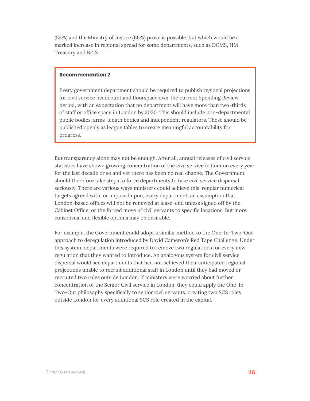(55%) and the Ministry of Justice (66%) prove is possible, but which would be a marked increase in regional spread for some departments, such as DCMS, HM Treasury and BEIS.

#### **Recommendation 2**

Every government department should be required to publish regional projections for civil service headcount and floorspace over the current Spending Review period, with an expectation that no department will have more than two-thirds of staff or office space in London by 2030. This should include non-departmental public bodies, arms-length bodies and independent regulators. These should be published openly as league tables to create meaningful accountability for progress.

But transparency alone may not be enough. After all, annual releases of civil service statistics have shown growing concentration of the civil service in London every year for the last decade or so and yet there has been no real change. The Government should therefore take steps to force departments to take civil service dispersal seriously. There are various ways ministers could achieve this: regular numerical targets agreed with, or imposed upon, every department; an assumption that London-based offices will not be renewed at lease-end unless signed off by the Cabinet Office; or the forced move of civil servants to specific locations. But more consensual and flexible options may be desirable.

For example, the Government could adopt a similar method to the One-In-Two-Out approach to deregulation introduced by David Cameron's Red Tape Challenge. Under this system, departments were required to remove two regulations for every new regulation that they wanted to introduce. An analogous system for civil service dispersal would see departments that had not achieved their anticipated regional projections unable to recruit additional staff in London until they had moved or recruited two roles outside London. If ministers were worried about further concentration of the Senior Civil service in London, they could apply the One-In-Two-Out philosophy specifically to senior civil servants, creating two SCS roles outside London for every additional SCS role created in the capital.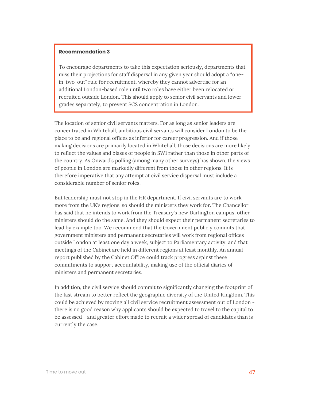#### **Recommendation 3**

To encourage departments to take this expectation seriously, departments that miss their projections for staff dispersal in any given year should adopt a "onein-two-out" rule for recruitment, whereby they cannot advertise for an additional London-based role until two roles have either been relocated or recruited outside London. This should apply to senior civil servants and lower grades separately, to prevent SCS concentration in London.

The location of senior civil servants matters. For as long as senior leaders are concentrated in Whitehall, ambitious civil servants will consider London to be the place to be and regional offices as inferior for career progression. And if those making decisions are primarily located in Whitehall, those decisions are more likely to reflect the values and biases of people in SW1 rather than those in other parts of the country. As Onward's polling (among many other surveys) has shown, the views of people in London are markedly different from those in other regions. It is therefore imperative that any attempt at civil service dispersal must include a considerable number of senior roles.

But leadership must not stop in the HR department. If civil servants are to work more from the UK's regions, so should the ministers they work for. The Chancellor has said that he intends to work from the Treasury's new Darlington campus; other ministers should do the same. And they should expect their permanent secretaries to lead by example too. We recommend that the Government publicly commits that government ministers and permanent secretaries will work from regional offices outside London at least one day a week, subject to Parliamentary activity, and that meetings of the Cabinet are held in different regions at least monthly. An annual report published by the Cabinet Office could track progress against these commitments to support accountability, making use of the official diaries of ministers and permanent secretaries.

In addition, the civil service should commit to significantly changing the footprint of the fast stream to better reflect the geographic diversity of the United Kingdom. This could be achieved by moving all civil service recruitment assessment out of London there is no good reason why applicants should be expected to travel to the capital to be assessed - and greater effort made to recruit a wider spread of candidates than is currently the case.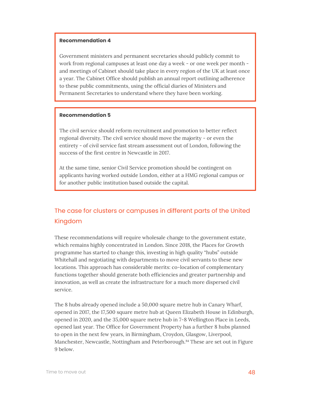#### **Recommendation 4**

Government ministers and permanent secretaries should publicly commit to work from regional campuses at least one day a week - or one week per month and meetings of Cabinet should take place in every region of the UK at least once a year. The Cabinet Office should publish an annual report outlining adherence to these public commitments, using the official diaries of Ministers and Permanent Secretaries to understand where they have been working.

#### **Recommendation 5**

The civil service should reform recruitment and promotion to better reflect regional diversity. The civil service should move the majority - or even the entirety - of civil service fast stream assessment out of London, following the success of the first centre in Newcastle in 2017.

At the same time, senior Civil Service promotion should be contingent on applicants having worked outside London, either at a HMG regional campus or for another public institution based outside the capital.

#### The case for clusters or campuses in different parts of the United Kingdom

These recommendations will require wholesale change to the government estate, which remains highly concentrated in London. Since 2018, the Places for Growth programme has started to change this, investing in high quality "hubs" outside Whitehall and negotiating with departments to move civil servants to these new locations. This approach has considerable merits: co-location of complementary functions together should generate both efficiencies and greater partnership and innovation, as well as create the infrastructure for a much more dispersed civil service.

The 8 hubs already opened include a 50,000 square metre hub in Canary Wharf, opened in 2017, the 17,500 square metre hub at Queen Elizabeth House in Edinburgh, opened in 2020, and the 35,000 square metre hub in 7-8 Wellington Place in Leeds, opened last year. The Office for Government Property has a further 8 hubs planned to open in the next few years, in Birmingham, Croydon, Glasgow, Liverpool, Manchester, Newcastle, Nottingham and Peterborough.<sup>84</sup> These are set out in Figure 9 below.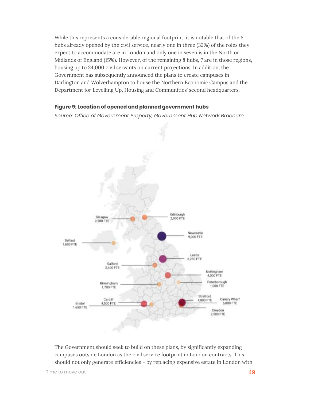While this represents a considerable regional footprint, it is notable that of the 8 hubs already opened by the civil service, nearly one in three (32%) of the roles they expect to accommodate are in London and only one in seven is in the North or Midlands of England (15%). However, of the remaining 8 hubs, 7 are in those regions, housing up to 24,000 civil servants on current projections. In addition, the Government has subsequently announced the plans to create campuses in Darlington and Wolverhampton to house the Northern Economic Campus and the Department for Levelling Up, Housing and Communities' second headquarters.

#### **Figure 9: Location of opened and planned government hubs**

*Source: Office of Government Property, Government Hub Network Brochure*



The Government should seek to build on these plans, by significantly expanding campuses outside London as the civil service footprint in London contracts. This should not only generate efficiencies - by replacing expensive estate in London with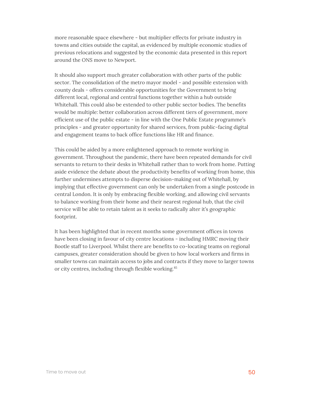more reasonable space elsewhere - but multiplier effects for private industry in towns and cities outside the capital, as evidenced by multiple economic studies of previous relocations and suggested by the economic data presented in this report around the ONS move to Newport.

It should also support much greater collaboration with other parts of the public sector. The consolidation of the metro mayor model - and possible extension with county deals - offers considerable opportunities for the Government to bring different local, regional and central functions together within a hub outside Whitehall. This could also be extended to other public sector bodies. The benefits would be multiple: better collaboration across different tiers of government, more efficient use of the public estate - in line with the One Public Estate programme's principles - and greater opportunity for shared services, from public-facing digital and engagement teams to back office functions like HR and finance.

This could be aided by a more enlightened approach to remote working in government. Throughout the pandemic, there have been repeated demands for civil servants to return to their desks in Whitehall rather than to work from home. Putting aside evidence the debate about the productivity benefits of working from home, this further undermines attempts to disperse decision-making out of Whitehall, by implying that effective government can only be undertaken from a single postcode in central London. It is only by embracing flexible working, and allowing civil servants to balance working from their home and their nearest regional hub, that the civil service will be able to retain talent as it seeks to radically alter it's geographic footprint.

It has been highlighted that in recent months some government offices in towns have been closing in favour of city centre locations - including HMRC moving their Bootle staff to Liverpool. Whilst there are benefits to co-locating teams on regional campuses, greater consideration should be given to how local workers and firms in smaller towns can maintain access to jobs and contracts if they move to larger towns or city centres, including through flexible working.85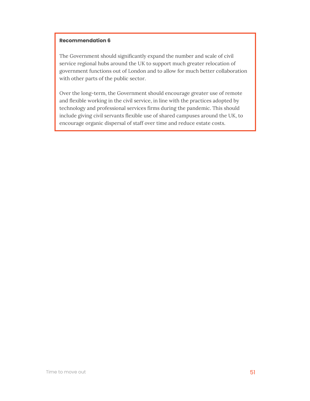#### **Recommendation 6**

The Government should significantly expand the number and scale of civil service regional hubs around the UK to support much greater relocation of government functions out of London and to allow for much better collaboration with other parts of the public sector.

Over the long-term, the Government should encourage greater use of remote and flexible working in the civil service, in line with the practices adopted by technology and professional services firms during the pandemic. This should include giving civil servants flexible use of shared campuses around the UK, to encourage organic dispersal of staff over time and reduce estate costs.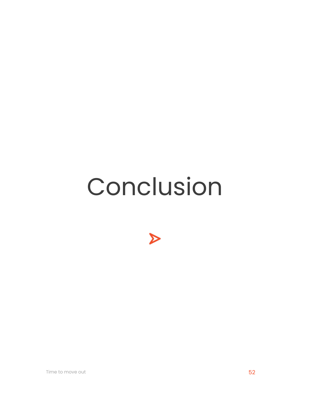## Conclusion

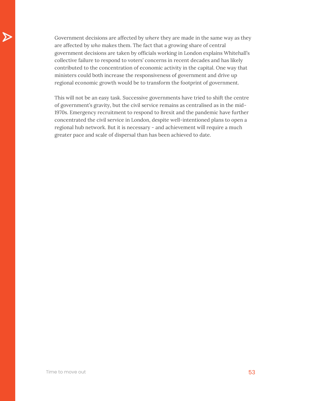Government decisions are affected by *where* they are made in the same way as they are affected by *who* makes them. The fact that a growing share of central government decisions are taken by officials working in London explains Whitehall's collective failure to respond to voters' concerns in recent decades and has likely contributed to the concentration of economic activity in the capital. One way that ministers could both increase the responsiveness of government and drive up regional economic growth would be to transform the footprint of government.

This will not be an easy task. Successive governments have tried to shift the centre of government's gravity, but the civil service remains as centralised as in the mid-1970s. Emergency recruitment to respond to Brexit and the pandemic have further concentrated the civil service in London, despite well-intentioned plans to open a regional hub network. But it is necessary - and achievement will require a much greater pace and scale of dispersal than has been achieved to date.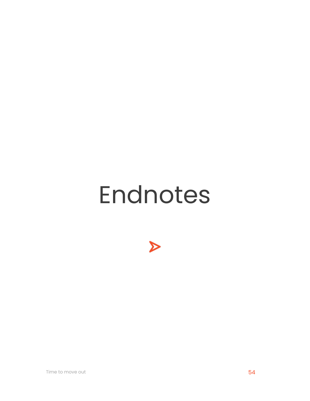## Endnotes

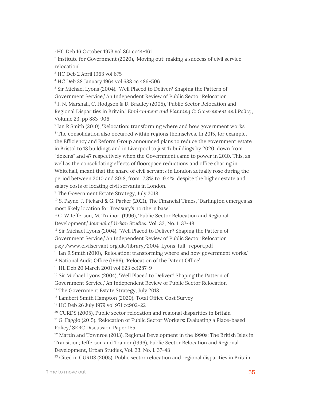<sup>4</sup> HC Deb 28 January 1964 vol 688 cc 486-506

<sup>5</sup> Sir Michael Lyons (2004), 'Well Placed to Deliver? Shaping the Pattern of Government Service,' An Independent Review of Public Sector Relocation 6 J. N. Marshall, C. Hodgson & D. Bradley (2005), 'Public Sector Relocation and Regional Disparities in Britain,' *Environment and Planning C: Government and Policy*, Volume 23, pp 883-906

7 Ian R Smith (2010), 'Relocation: transforming where and how government works' <sup>8</sup> The consolidation also occurred within regions themselves. In 2015, for example, the Efficiency and Reform Group announced plans to reduce the government estate in Bristol to 18 buildings and in Liverpool to just 17 buildings by 2020, down from "dozens" and 47 respectively when the Government came to power in 2010. This, as well as the consolidating effects of floorspace reductions and office sharing in Whitehall, meant that the share of civil servants in London actually rose during the period between 2010 and 2018, from 17.3% to 19.4%, despite the higher estate and salary costs of locating civil servants in London.

<sup>9</sup> The Government Estate Strategy, July 2018

 $10$  S. Payne, J. Pickard & G. Parker (2021), The Financial Times, 'Darlington emerges as most likely location for Treasury's northern base'

<sup>11</sup> C. W Jefferson, M. Trainor, (1996), 'Public Sector Relocation and Regional Development,' *Journal of Urban Studies*, Vol. 33, No. 1, 37-48

<sup>12</sup> Sir Michael Lyons (2004), 'Well Placed to Deliver? Shaping the Pattern of Government Service,' An Independent Review of Public Sector Relocation

ps://www.civilservant.org.uk/library/2004-Lyons-full\_report.pdf

<sup>13</sup> Ian R Smith (2010), 'Relocation: transforming where and how government works.'

<sup>14</sup> National Audit Office (1996), 'Relocation of the Patent Office'

<sup>15</sup> HL Deb 20 March 2001 vol 623 cc1287-9

<sup>16</sup> Sir Michael Lyons (2004), 'Well Placed to Deliver? Shaping the Pattern of

Government Service,' An Independent Review of Public Sector Relocation

<sup>17</sup> The Government Estate Strategy, July 2018

<sup>18</sup> Lambert Smith Hampton (2020), Total Office Cost Survey

<sup>19</sup> HC Deb 26 July 1979 vol 971 cc902-22

<sup>20</sup> CURDS (2005), Public sector relocation and regional disparities in Britain <sup>21</sup> G. Faggio (2015), 'Relocation of Public Sector Workers: Evaluating a Place-based Policy,' SERC Discussion Paper 155

 $22$  Martin and Townroe (2013), Regional Development in the 1990s: The British Isles in Transition; Jefferson and Trainor (1996), Public Sector Relocation and Regional Development, Urban Studies, Vol. 33, No. 1, 37-48

 $23$  Cited in CURDS (2005), Public sector relocation and regional disparities in Britain

<sup>1</sup> HC Deb 16 October 1973 vol 861 cc44-161

<sup>&</sup>lt;sup>2</sup> Institute for Government (2020), 'Moving out: making a success of civil service relocation'

<sup>3</sup> HC Deb 2 April 1963 vol 675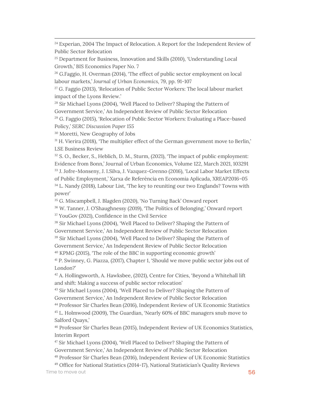$24$  Experian, 2004 The Impact of Relocation. A Report for the Independent Review of Public Sector Relocation

<sup>28</sup> Sir Michael Lyons (2004), 'Well Placed to Deliver? Shaping the Pattern of Government Service,' An Independent Review of Public Sector Relocation

<sup>29</sup> G. Faggio (2015), 'Relocation of Public Sector Workers: Evaluating a Place-based Policy,' *SERC Discussion Paper 155*

<sup>30</sup> Moretti, New Geography of Jobs

<sup>31</sup> H. Vierira (2018), 'The multiplier effect of the German government move to Berlin,' LSE Business Review

<sup>32</sup> S. O., Becker, S., Heblich, D. M., Sturm, (2021), 'The impact of public employment: Evidence from Bonn,' Journal of Urban Economics, Volume 122, March 2021, 103291 <sup>33</sup> J. Jofre-Monseny, J. I.Silva, J. Vazquez-Grenno (2016), 'Local Labor Market Effects of Public Employment,' Xarxa de Referència en Economia Aplicada, XREAP2016-05 <sup>34</sup> L. Nandy (2018), Labour List, 'The key to reuniting our two Englands? Towns with power'

<sup>35</sup> G. Miscampbell, J. Blagden (2020), 'No Turning Back' Onward report

<sup>36</sup> W. Tanner, J. O'Shaughnessy (2019), 'The Politics of Belonging,' Onward report <sup>37</sup> YouGov (2021), Confidence in the Civil Service

<sup>38</sup> Sir Michael Lyons (2004), 'Well Placed to Deliver? Shaping the Pattern of Government Service,' An Independent Review of Public Sector Relocation <sup>39</sup> Sir Michael Lyons (2004), 'Well Placed to Deliver? Shaping the Pattern of Government Service,' An Independent Review of Public Sector Relocation

<sup>40</sup> KPMG (2015), 'The role of the BBC in supporting economic growth'

<sup>41</sup> P. Swinney, G. Piazza, (2017), Chapter 1, 'Should we move public sector jobs out of London?'

<sup>42</sup> A. Hollingsworth, A. Hawksbee, (2021), Centre for Cities, 'Beyond a Whitehall lift and shift: Making a success of public sector relocation'

<sup>43</sup> Sir Michael Lyons (2004), 'Well Placed to Deliver? Shaping the Pattern of Government Service,' An Independent Review of Public Sector Relocation

<sup>44</sup> Professor Sir Charles Bean (2016), Independent Review of UK Economic Statistics

<sup>45</sup> L. Holmwood (2009), The Guardian, 'Nearly 60% of BBC managers snub move to Salford Quays,'

<sup>46</sup> Professor Sir Charles Bean (2015), Independent Review of UK Economics Statistics, Interim Report

<sup>47</sup> Sir Michael Lyons (2004), 'Well Placed to Deliver? Shaping the Pattern of Government Service,' An Independent Review of Public Sector Relocation <sup>48</sup> Professor Sir Charles Bean (2016), Independent Review of UK Economic Statistics

Time to move out **56** <sup>49</sup> Office for National Statistics (2014-17), National Statistician's Quality Reviews

 $^{25}$  Department for Business, Innovation and Skills (2010), 'Understanding Local Growth,' BIS Economics Paper No. 7

<sup>26</sup> G.Faggio, H. Overman (2014), 'The effect of public sector employment on local labour markets,' *Journal of Urban Economics,* 79, pp. 91-107

 $27$  G. Faggio (2013), 'Relocation of Public Sector Workers: The local labour market impact of the Lyons Review.'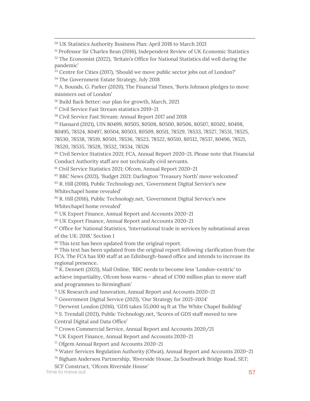UK Statistics Authority Business Plan: April 2018 to March 2021

Build Back Better: our plan for growth, March, 2021

Civil Service Fast Stream statistics 2019-21

Civil Service Fast Stream: Annual Report 2017 and 2018

Hansard (2021), UIN 80499, 80505, 80508, 80500, 80506, 80507, 80502, 80498,

80495, 78524, 80497, 80504, 80503, 80509, 80511, 78529, 78533, 78527, 78531, 78525,

78530, 78538, 78519, 80501, 78536, 78523, 78522, 80510, 80512, 78537, 80496, 78521,

78520, 78535, 78528, 78532, 78534, 78526

 Civil Service Statistics 2021; FCA, Annual Report 2020-21. Please note that Financial Conduct Authority staff are not technically civil servants.

Civil Service Statistics 2021; Ofcom, Annual Report 2020-21

BBC News (2021), 'Budget 2021: Darlington 'Treasury North' move welcomed'

 R. Hill (2016), Public Technology.net, 'Government Digital Service's new Whitechapel home revealed'

 R. Hill (2016), Public Technology.net, 'Government Digital Service's new Whitechapel home revealed'

UK Export Finance, Annual Report and Accounts 2020-21

UK Export Finance, Annual Report and Accounts 2020-21

<sup>67</sup> Office for National Statistics, 'International trade in services by subnational areas of the UK: 2018,' Section 1

<sup>68</sup> This text has been updated from the original report.

 This text has been updated from the original report following clarification from the FCA. The FCA has 100 staff at an Edinburgh-based office and intends to increase its regional presence.

 K. Dennett (2021), Mail Online, 'BBC needs to become less 'London-centric' to achieve impartiality, Ofcom boss warns – ahead of £700 million plan to move staff and programmes to Birmingham'

UK Research and Innovation, Annual Report and Accounts 2020-21

Government Digital Service (2021), 'Our Strategy for 2021-2024'

Derwent London (2016), 'GDS takes 55,000 sq ft at The White Chapel Building'

 S. Trendall (2021), Public Technology.net, 'Scores of GDS staff moved to new Central Digital and Data Office'

Crown Commercial Service, Annual Report and Accounts 2020/21

UK Export Finance, Annual Report and Accounts 2020-21

Ofgem Annual Report and Accounts 2020-21

Water Services Regulation Authority (Ofwat), Annual Report and Accounts 2020-21

Bigham Anderson Partnership, 'Riverside House, 2a Southwark Bridge Road, SE1';

SCF Construct, 'Ofcom Riverside House'

 Professor Sir Charles Bean (2016), Independent Review of UK Economic Statistics The Economist (2022), 'Britain's Office for National Statistics did well during the pandemic'

 Centre for Cities (2017), 'Should we move public sector jobs out of London?' The Government Estate Strategy, July 2018

 A. Bounds, G. Parker (2020), The Financial Times, 'Boris Johnson pledges to move ministers out of London'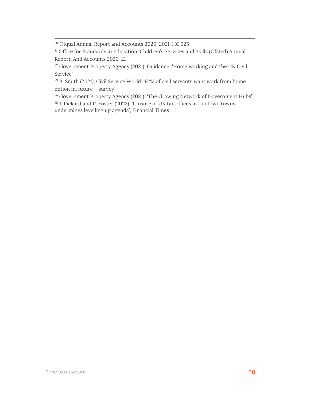<sup>80</sup> Ofqual Annual Report and Accounts 2020-2021, HC 325

81 Office for Standards in Education, Children's Services and Skills (Ofsted) Annual Report. And Accounts 2020-21

82 Government Property Agency (2021), Guidance, 'Home working and the UK Civil Service'

<sup>83</sup> B. Smith (2021), Civil Service World, '97% of civil servants want work from home option in. future – survey'

84 Government Property Agency (2021), 'The Growing Network of Government Hubs' <sup>85</sup> J. Pickard and P. Foster (2022), 'Closure of UK tax offices in rundown towns undermines levelling up agenda', Financial Times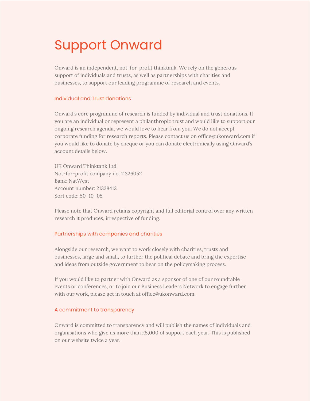## Support Onward

Onward is an independent, not-for-profit thinktank. We rely on the generous support of individuals and trusts, as well as partnerships with charities and businesses, to support our leading programme of research and events.

#### Individual and Trust donations

Onward's core programme of research is funded by individual and trust donations. If you are an individual or represent a philanthropic trust and would like to support our ongoing research agenda, we would love to hear from you. We do not accept corporate funding for research reports. Please contact us on office@ukonward.com if you would like to donate by cheque or you can donate electronically using Onward's account details below.

UK Onward Thinktank Ltd Not-for-profit company no. 11326052 Bank: NatWest Account number: 21328412 Sort code: 50–10–05

Please note that Onward retains copyright and full editorial control over any written research it produces, irrespective of funding.

#### Partnerships with companies and charities

Alongside our research, we want to work closely with charities, trusts and businesses, large and small, to further the political debate and bring the expertise and ideas from outside government to bear on the policymaking process.

If you would like to partner with Onward as a sponsor of one of our roundtable events or conferences, or to join our Business Leaders Network to engage further with our work, please get in touch at office@ukonward.com.

#### A commitment to transparency

Onward is committed to transparency and will publish the names of individuals and organisations who give us more than £5,000 of support each year. This is published on our website twice a year.